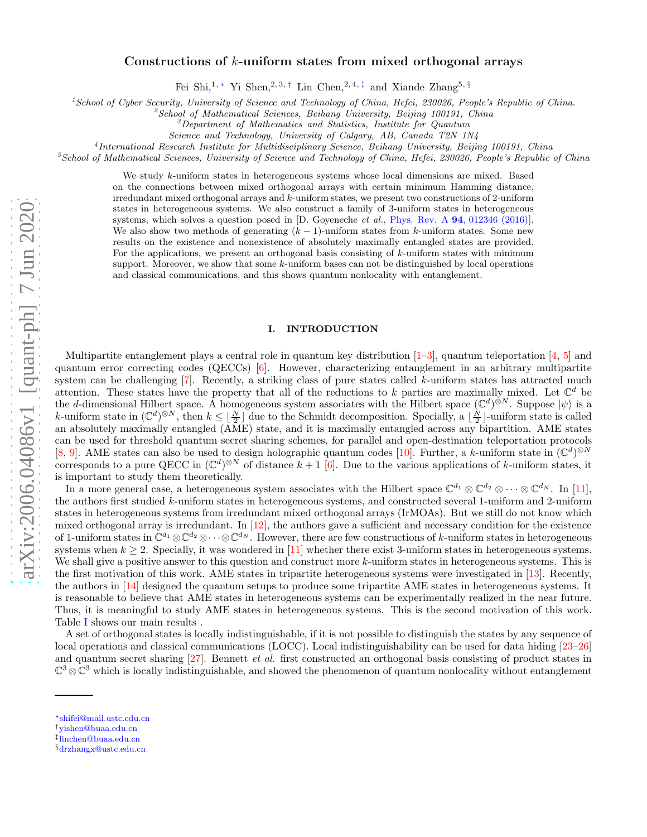# Constructions of  $k$ -uniform states from mixed orthogonal arrays

Fei Shi,<sup>1,\*</sup> Yi Shen,<sup>2,3,[†](#page-0-1)</sup> Lin Chen,<sup>2,4,[‡](#page-0-2)</sup> and Xiande Zhang<sup>5, [§](#page-0-3)</sup>

<sup>1</sup>*School of Cyber Security, University of Science and Technology of China, Hefei, 230026, People's Republic of China.*

<sup>2</sup>*School of Mathematical Sciences, Beihang University, Beijing 100191, China*

<sup>3</sup>*Department of Mathematics and Statistics, Institute for Quantum*

*Science and Technology, University of Calgary, AB, Canada T2N 1N4*

4 *International Research Institute for Multidisciplinary Science, Beihang University, Beijing 100191, China*

<sup>5</sup>*School of Mathematical Sciences, University of Science and Technology of China, Hefei, 230026, People's Republic of China*

We study k-uniform states in heterogeneous systems whose local dimensions are mixed. Based on the connections between mixed orthogonal arrays with certain minimum Hamming distance, irredundant mixed orthogonal arrays and k-uniform states, we present two constructions of 2-uniform states in heterogeneous systems. We also construct a family of 3-uniform states in heterogeneous systems, which solves a question posed in [D. Goyeneche *et al.*, Phys. Rev. A 94[, 012346 \(2016\)\]](https://journals.aps.org/pra/abstract/10.1103/PhysRevA.94.012346). We also show two methods of generating  $(k - 1)$ -uniform states from k-uniform states. Some new results on the existence and nonexistence of absolutely maximally entangled states are provided. For the applications, we present an orthogonal basis consisting of k-uniform states with minimum support. Moreover, we show that some k-uniform bases can not be distinguished by local operations and classical communications, and this shows quantum nonlocality with entanglement.

### I. INTRODUCTION

Multipartite entanglement plays a central role in quantum key distribution  $[1-3]$ , quantum teleportation  $[4, 5]$  $[4, 5]$  $[4, 5]$  and quantum error correcting codes (QECCs) [\[6\]](#page-14-4). However, characterizing entanglement in an arbitrary multipartite system can be challenging  $[7]$ . Recently, a striking class of pure states called k-uniform states has attracted much attention. These states have the property that all of the reductions to k parties are maximally mixed. Let  $\mathbb{C}^d$  be the d-dimensional Hilbert space. A homogeneous system associates with the Hilbert space  $(\mathbb{C}^d)^{\otimes N}$ . Suppose  $|\psi\rangle$  is a k-uniform state in  $(\mathbb{C}^d)^{\otimes N}$ , then  $k \leq \lfloor \frac{N}{2} \rfloor$  due to the Schmidt decomposition. Specially, a  $\lfloor \frac{N}{2} \rfloor$ -uniform state is called an absolutely maximally entangled (AME) state, and it is maximally entangled across any bipartition. AME states can be used for threshold quantum secret sharing schemes, for parallel and open-destination teleportation protocols [\[8,](#page-14-6) [9\]](#page-14-7). AME states can also be used to design holographic quantum codes [\[10\]](#page-15-0). Further, a k-uniform state in  $(\mathbb{C}^d)^{\otimes N}$ corresponds to a pure QECC in  $(\mathbb{C}^d)^{\otimes N}$  of distance  $k+1$  [\[6\]](#page-14-4). Due to the various applications of k-uniform states, it is important to study them theoretically.

In a more general case, a heterogeneous system associates with the Hilbert space  $\mathbb{C}^{d_1} \otimes \mathbb{C}^{d_2} \otimes \cdots \otimes \mathbb{C}^{d_N}$ . In [\[11\]](#page-15-1), the authors first studied k-uniform states in heterogeneous systems, and constructed several 1-uniform and 2-uniform states in heterogeneous systems from irredundant mixed orthogonal arrays (IrMOAs). But we still do not know which mixed orthogonal array is irredundant. In  $[12]$ , the authors gave a sufficient and necessary condition for the existence of 1-uniform states in  $\mathbb{C}^{d_1}\otimes \mathbb{C}^{d_2}\otimes \cdots \otimes \mathbb{C}^{d_N}$ . However, there are few constructions of k-uniform states in heterogeneous systems when  $k \geq 2$ . Specially, it was wondered in [\[11\]](#page-15-1) whether there exist 3-uniform states in heterogeneous systems. We shall give a positive answer to this question and construct more  $k$ -uniform states in heterogeneous systems. This is the first motivation of this work. AME states in tripartite heterogeneous systems were investigated in [\[13\]](#page-15-3). Recently, the authors in [\[14](#page-15-4)] designed the quantum setups to produce some tripartite AME states in heterogeneous systems. It is reasonable to believe that AME states in heterogeneous systems can be experimentally realized in the near future. Thus, it is meaningful to study AME states in heterogeneous systems. This is the second motivation of this work. Table [I](#page-1-0) shows our main results .

A set of orthogonal states is locally indistinguishable, if it is not possible to distinguish the states by any sequence of local operations and classical communications (LOCC). Local indistinguishability can be used for data hiding [\[23](#page-15-5)[–26\]](#page-15-6) and quantum secret sharing [\[27\]](#page-15-7). Bennett *et al.* first constructed an orthogonal basis consisting of product states in  $\mathbb{C}^3 \otimes \mathbb{C}^3$  which is locally indistinguishable, and showed the phenomenon of quantum nonlocality without entanglement

<span id="page-0-0"></span><sup>∗</sup>[shifei@mail.ustc.edu.cn](mailto:shifei@mail.ustc.edu.cn)

<span id="page-0-1"></span><sup>†</sup>[yishen@buaa.edu.cn](mailto:yishen@buaa.edu.cn)

<span id="page-0-2"></span><sup>‡</sup> [linchen@buaa.edu.cn](mailto:linchen@buaa.edu.cn)

<span id="page-0-3"></span><sup>§</sup>[drzhangx@ustc.edu.cn](mailto:drzhangx@ustc.edu.cn)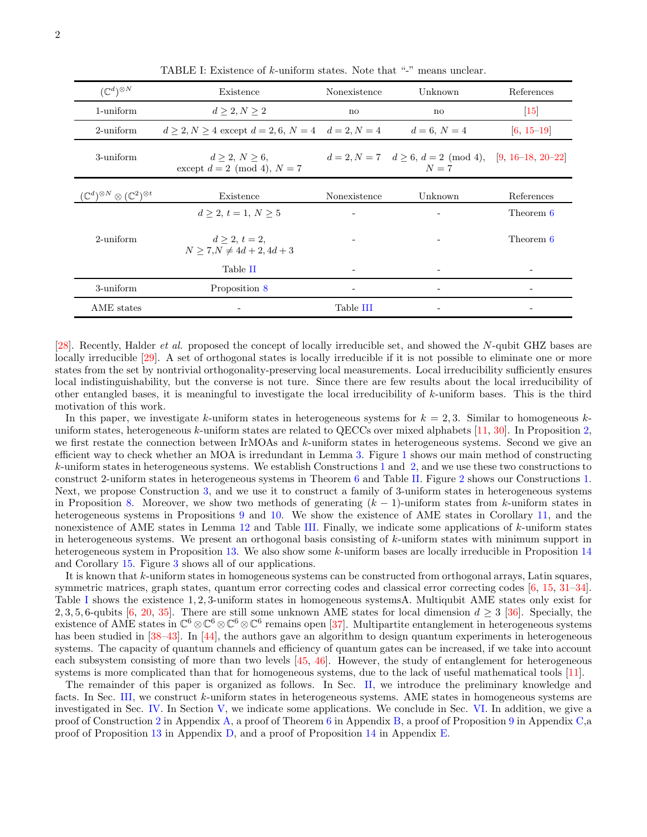| $(\mathbb{C}^d)^{\otimes N}$                                    | Existence                                                  | Nonexistence | Unknown                                                            | References               |
|-----------------------------------------------------------------|------------------------------------------------------------|--------------|--------------------------------------------------------------------|--------------------------|
| 1-uniform                                                       | $d \geq 2, N \geq 2$                                       | $\mathbf{n}$ | $\mathbf{n}$                                                       | $\vert 15 \vert$         |
| 2-uniform                                                       | $d > 2, N > 4$ except $d = 2, 6, N = 4$ $d = 2, N = 4$     |              | $d = 6, N = 4$                                                     | $[6, 15-19]$             |
| 3-uniform                                                       | $d \geq 2, N \geq 6,$<br>except $d = 2 \pmod{4}$ , $N = 7$ |              | $d = 2, N = 7$ $d > 6, d = 2 \pmod{4}, [9, 16-18, 20-22]$<br>$N=7$ |                          |
| $(\mathbb{C}^d)^{\otimes N} \otimes (\mathbb{C}^2)^{\otimes t}$ | Existence                                                  | Nonexistence | Unknown                                                            | References               |
|                                                                 | $d > 2, t = 1, N > 5$                                      |              |                                                                    | Theorem 6                |
| $2$ -uniform                                                    | $d > 2, t = 2,$<br>$N > 7, N \neq 4d + 2, 4d + 3$          |              |                                                                    | Theorem 6                |
|                                                                 | Table II                                                   |              |                                                                    | -                        |
| 3-uniform                                                       | Proposition 8                                              |              |                                                                    | $\overline{\phantom{a}}$ |
| AME states                                                      |                                                            | Table III    |                                                                    |                          |

<span id="page-1-0"></span>TABLE I: Existence of k-uniform states. Note that "-" means unclear.

[\[28\]](#page-15-14). Recently, Halder et al. proposed the concept of locally irreducible set, and showed the N-qubit GHZ bases are locally irreducible [\[29](#page-15-15)]. A set of orthogonal states is locally irreducible if it is not possible to eliminate one or more states from the set by nontrivial orthogonality-preserving local measurements. Local irreducibility sufficiently ensures local indistinguishability, but the converse is not ture. Since there are few results about the local irreducibility of other entangled bases, it is meaningful to investigate the local irreducibility of  $k$ -uniform bases. This is the third motivation of this work.

In this paper, we investigate k-uniform states in heterogeneous systems for  $k = 2, 3$ . Similar to homogeneous kuniform states, heterogeneous k-uniform states are related to QECCs over mixed alphabets [\[11,](#page-15-1) [30](#page-15-16)]. In Proposition [2,](#page-3-0) we first restate the connection between IrMOAs and  $k$ -uniform states in heterogeneous systems. Second we give an efficient way to check whether an MOA is irredundant in Lemma [3.](#page-3-1) Figure [1](#page-2-0) shows our main method of constructing k-uniform states in heterogeneous systems. We establish Constructions [1](#page-4-0) and [2,](#page-5-1) and we use these two constructions to construct 2-uniform states in heterogeneous systems in Theorem [6](#page-5-0) and Table [II.](#page-6-0) Figure [2](#page-4-1) shows our Constructions [1.](#page-4-0) Next, we propose Construction [3,](#page-6-2) and we use it to construct a family of 3-uniform states in heterogeneous systems in Proposition [8.](#page-6-1) Moreover, we show two methods of generating  $(k-1)$ -uniform states from k-uniform states in heterogeneous systems in Propositions [9](#page-7-0) and [10.](#page-7-1) We show the existence of AME states in Corollary [11,](#page-8-1) and the nonexistence of AME states in Lemma [12](#page-8-2) and Table [III.](#page-8-0) Finally, we indicate some applications of  $k$ -uniform states in heterogeneous systems. We present an orthogonal basis consisting of k-uniform states with minimum support in heterogeneous system in Proposition [13.](#page-9-0) We also show some k-uniform bases are locally irreducible in Proposition [14](#page-9-1) and Corollary [15.](#page-10-0) Figure [3](#page-10-1) shows all of our applications.

It is known that k-uniform states in homogeneous systems can be constructed from orthogonal arrays, Latin squares, symmetric matrices, graph states, quantum error correcting codes and classical error correcting codes [\[6](#page-14-4), [15,](#page-15-8) [31](#page-15-17)[–34\]](#page-15-18). Table [I](#page-1-0) shows the existence 1, 2, 3-uniform states in homogeneous systemsA. Multiqubit AME states only exist for 2, 3, 5, 6-qubits [\[6,](#page-14-4) [20,](#page-15-12) [35\]](#page-15-19). There are still some unknown AME states for local dimension  $d \geq 3$  [\[36\]](#page-15-20). Specially, the existence of AME states in  $\mathbb{C}^6 \otimes \mathbb{C}^6 \otimes \mathbb{C}^6$  remains open [\[37](#page-15-21)]. Multipartite entanglement in heterogeneous systems has been studied in [\[38](#page-15-22)[–43\]](#page-16-0). In [\[44](#page-16-1)], the authors gave an algorithm to design quantum experiments in heterogeneous systems. The capacity of quantum channels and efficiency of quantum gates can be increased, if we take into account each subsystem consisting of more than two levels [\[45](#page-16-2), [46\]](#page-16-3). However, the study of entanglement for heterogeneous systems is more complicated than that for homogeneous systems, due to the lack of useful mathematical tools [\[11](#page-15-1)].

The remainder of this paper is organized as follows. In Sec. [II,](#page-2-1) we introduce the preliminary knowledge and facts. In Sec. [III,](#page-3-2) we construct k-uniform states in heterogeneous systems. AME states in homogeneous systems are investigated in Sec. [IV.](#page-8-3) In Section [V,](#page-9-2) we indicate some applications. We conclude in Sec. [VI.](#page-10-2) In addition, we give a proof of Construction [2](#page-5-1) in Appendix [A,](#page-11-0) a proof of Theorem [6](#page-5-0) in Appendix [B,](#page-11-1) a proof of Proposition [9](#page-7-0) in Appendix [C,](#page-12-0)a proof of Proposition [13](#page-9-0) in Appendix [D,](#page-12-1) and a proof of Proposition [14](#page-9-1) in Appendix [E.](#page-13-0)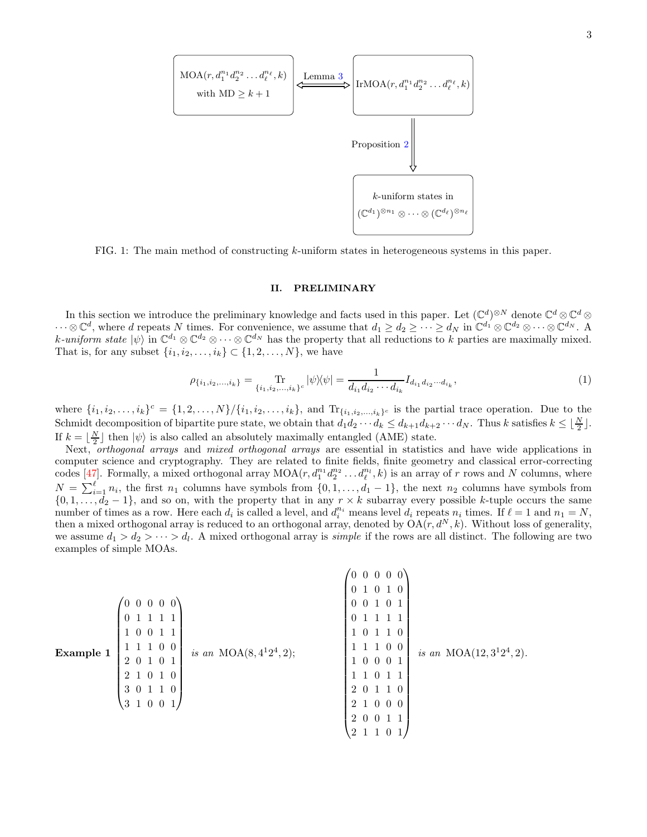

<span id="page-2-0"></span>FIG. 1: The main method of constructing  $k$ -uniform states in heterogeneous systems in this paper.

### <span id="page-2-1"></span>II. PRELIMINARY

In this section we introduce the preliminary knowledge and facts used in this paper. Let  $(\mathbb{C}^d)^{\otimes N}$  denote  $\mathbb{C}^d \otimes \mathbb{C}^d \otimes$  $\dots \otimes \mathbb{C}^d$ , where d repeats N times. For convenience, we assume that  $d_1 \geq d_2 \geq \dots \geq d_N$  in  $\mathbb{C}^{d_1} \otimes \mathbb{C}^{d_2} \otimes \dots \otimes \mathbb{C}^{d_N}$ . k-uniform state  $|\psi\rangle$  in  $\mathbb{C}^{d_1} \otimes \mathbb{C}^{d_2} \otimes \cdots \otimes \mathbb{C}^{d_N}$  has the property that all reductions to k parties are maximally mixed. That is, for any subset  $\{i_1, i_2, ..., i_k\}$  ⊂  $\{1, 2, ..., N\}$ , we have

$$
\rho_{\{i_1, i_2, \dots, i_k\}} = \operatorname*{Tr}_{\{i_1, i_2, \dots, i_k\}^c} |\psi\rangle\langle\psi| = \frac{1}{d_{i_1} d_{i_2} \cdots d_{i_k}} I_{d_{i_1} d_{i_2} \cdots d_{i_k}},\tag{1}
$$

where  $\{i_1, i_2, \ldots, i_k\}^c = \{1, 2, \ldots, N\} / \{i_1, i_2, \ldots, i_k\}$ , and  $\text{Tr}_{\{i_1, i_2, \ldots, i_k\}^c}$  is the partial trace operation. Due to the Schmidt decomposition of bipartite pure state, we obtain that  $d_1 d_2 \cdots d_k \leq d_{k+1} d_{k+2} \cdots d_N$ . Thus k satisfies  $k \leq \lfloor \frac{N}{2} \rfloor$ . If  $k = \lfloor \frac{N}{2} \rfloor$  then  $|\psi\rangle$  is also called an absolutely maximally entangled (AME) state.

Next, orthogonal arrays and mixed orthogonal arrays are essential in statistics and have wide applications in computer science and cryptography. They are related to finite fields, finite geometry and classical error-correcting codes [\[47\]](#page-16-4). Formally, a mixed orthogonal array  $MOA(r, d_1^{n_1}d_2^{n_2} \ldots d_\ell^{n_\ell}, k)$  is an array of r rows and N columns, where  $N = \sum_{i=1}^{\ell} n_i$ , the first  $n_1$  columns have symbols from  $\{0, 1, \ldots, d_1 - 1\}$ , the next  $n_2$  columns have symbols from  $\{0, 1, \ldots, d_2 - 1\}$ , and so on, with the property that in any  $r \times k$  subarray every possible k-tuple occurs the same number of times as a row. Here each  $d_i$  is called a level, and  $d_i^n$  means level  $d_i$  repeats  $n_i$  times. If  $\ell = 1$  and  $n_1 = N$ , then a mixed orthogonal array is reduced to an orthogonal array, denoted by  $OA(r, d^N, k)$ . Without loss of generality, we assume  $d_1 > d_2 > \cdots > d_l$ . A mixed orthogonal array is *simple* if the rows are all distinct. The following are two examples of simple MOAs.

<span id="page-2-2"></span>

| $(0\; 0\; 0\; 0\; 0)$<br>$\overline{0}$<br>1 0 0 1 1<br>1 0 0<br>is an MOA $(8, 4^12^4, 2);$<br>Example 1<br>2 0 1 0 1<br>$2^{\circ}$<br>$\overline{0}$<br>1 0<br>3 0<br>1 1 0<br>31001 | $0\;\;0\;\;0\;\;0$<br>$\overline{0}$<br>$\overline{0}$<br>1 0<br>$\overline{0}$<br>0 <sub>1</sub><br>0 <sub>1</sub><br>$\overline{0}$<br>$\overline{0}$<br>$\overline{0}$<br>1 0<br>1 0 0<br>is an MOA $(12, 3^12^4, 2)$ .<br>1 0 0 0 1<br>$\overline{0}$<br>2 0<br>1 0<br>2 1 0 0 0<br>2 0 |
|-----------------------------------------------------------------------------------------------------------------------------------------------------------------------------------------|---------------------------------------------------------------------------------------------------------------------------------------------------------------------------------------------------------------------------------------------------------------------------------------------|
|-----------------------------------------------------------------------------------------------------------------------------------------------------------------------------------------|---------------------------------------------------------------------------------------------------------------------------------------------------------------------------------------------------------------------------------------------------------------------------------------------|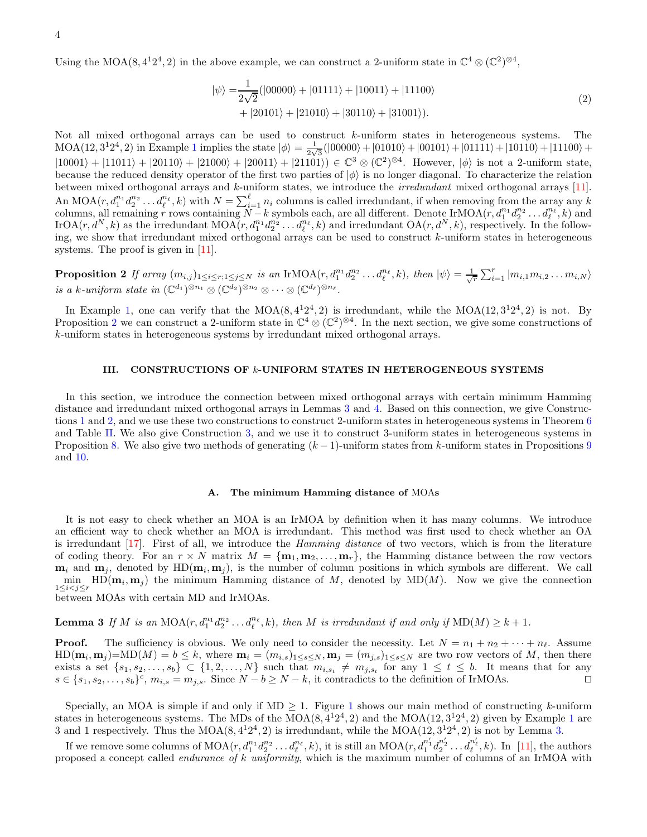Using the MOA(8, 4<sup>1</sup>2<sup>4</sup>, 2) in the above example, we can construct a 2-uniform state in  $\mathbb{C}^4 \otimes (\mathbb{C}^2)^{\otimes 4}$ ,

<span id="page-3-0"></span>
$$
|\psi\rangle = \frac{1}{2\sqrt{2}}(|00000\rangle + |01111\rangle + |10011\rangle + |11100\rangle + |20101\rangle + |21010\rangle + |30110\rangle + |31001\rangle).
$$
 (2)

<span id="page-3-3"></span>Not all mixed orthogonal arrays can be used to construct k-uniform states in heterogeneous systems. The  $MOA(12, 3^12^4, 2)$  $MOA(12, 3^12^4, 2)$  $MOA(12, 3^12^4, 2)$  in Example 1 implies the state  $|\phi\rangle = \frac{1}{2\sqrt{3}}$  $\frac{1}{2\sqrt{3}}(|00000\rangle+|01010\rangle+|00101\rangle+|01111\rangle+|10110\rangle+|11100\rangle+$  $|10001\rangle + |11011\rangle + |20110\rangle + |21000\rangle + |20011\rangle + |21101\rangle) \in \mathbb{C}^3 \otimes (\mathbb{C}^2)^{\otimes 4}$ . However,  $|\phi\rangle$  is not a 2-uniform state, because the reduced density operator of the first two parties of  $|\phi\rangle$  is no longer diagonal. To characterize the relation between mixed orthogonal arrays and k-uniform states, we introduce the irredundant mixed orthogonal arrays [\[11\]](#page-15-1). An MOA $(r, d_1^{n_1}d_2^{n_2} \ldots d_\ell^{n_\ell}, k)$  with  $N = \sum_{i=1}^\ell n_i$  columns is called irredundant, if when removing from the array any k columns, all remaining r rows containing  $N - k$  symbols each, are all different. Denote IrMOA( $r, d_1^{n_1}d_2^{n_2}...d_\ell^{n_\ell}, k$ ) and IrOA $(r, d^N, k)$  as the irredundant MOA $(r, d_1^{n_1}d_2^{n_2} \ldots d_\ell^{n_\ell}, k)$  and irredundant OA $(r, d^N, k)$ , respectively. In the following, we show that irredundant mixed orthogonal arrays can be used to construct k-uniform states in heterogeneous systems. The proof is given in [\[11\]](#page-15-1).

**Proposition 2** If array  $(m_{i,j})_{1 \leq i \leq r; 1 \leq j \leq N}$  is an IrMOA $(r, d_1^{n_1} d_2^{n_2} \ldots d_\ell^{n_\ell}, k)$ , then  $|\psi\rangle = \frac{1}{\sqrt{r}} \sum_{i=1}^r |m_{i,1} m_{i,2} \ldots m_{i,N}\rangle$ is a k-uniform state in  $(\mathbb{C}^{d_1})^{\otimes n_1} \otimes (\mathbb{C}^{d_2})^{\otimes n_2} \otimes \cdots \otimes (\mathbb{C}^{d_\ell})^{\otimes n_\ell}$ .

In Example [1,](#page-2-2) one can verify that the MOA $(8,4^12^4,2)$  is irredundant, while the MOA $(12,3^12^4,2)$  is not. By Proposition [2](#page-3-0) we can construct a 2-uniform state in  $\mathbb{C}^4 \otimes (\mathbb{C}^2)^{\otimes 4}$ . In the next section, we give some constructions of k-uniform states in heterogeneous systems by irredundant mixed orthogonal arrays.

### <span id="page-3-2"></span>III. CONSTRUCTIONS OF k-UNIFORM STATES IN HETEROGENEOUS SYSTEMS

In this section, we introduce the connection between mixed orthogonal arrays with certain minimum Hamming distance and irredundant mixed orthogonal arrays in Lemmas [3](#page-3-1) and [4.](#page-4-2) Based on this connection, we give Constructions [1](#page-4-0) and [2,](#page-5-1) and we use these two constructions to construct 2-uniform states in heterogeneous systems in Theorem [6](#page-5-0) and Table [II.](#page-6-0) We also give Construction [3,](#page-6-2) and we use it to construct 3-uniform states in heterogeneous systems in Proposition [8.](#page-6-1) We also give two methods of generating  $(k-1)$ -uniform states from k-uniform states in Propositions [9](#page-7-0) and [10.](#page-7-1)

### <span id="page-3-1"></span>A. The minimum Hamming distance of MOAs

It is not easy to check whether an MOA is an IrMOA by definition when it has many columns. We introduce an efficient way to check whether an MOA is irredundant. This method was first used to check whether an OA is irredundant [\[17\]](#page-15-23). First of all, we introduce the Hamming distance of two vectors, which is from the literature of coding theory. For an  $r \times N$  matrix  $M = {\bf m}_1, {\bf m}_2, \ldots, {\bf m}_r$ , the Hamming distance between the row vectors  $m_i$  and  $m_j$ , denoted by HD $(m_i, m_j)$ , is the number of column positions in which symbols are different. We call  $\min_{\mathbf{j}}$  HD( $\mathbf{m}_i$ ,  $\mathbf{m}_j$ ) the minimum Hamming distance of M, denoted by MD(M). Now we give the connection  $1 \leq i < j \leq r$ between MOAs with certain MD and IrMOAs.

**Lemma 3** If M is an  $MOA(r, d_1^{n_1}d_2^{n_2} \ldots d_\ell^{n_\ell}, k)$ , then M is irredundant if and only if  $MD(M) \geq k+1$ .

**Proof.** The sufficiency is obvious. We only need to consider the necessity. Let  $N = n_1 + n_2 + \cdots + n_\ell$ . Assume  $HD(\mathbf{m}_i, \mathbf{m}_j) = MD(M) = b \le k$ , where  $\mathbf{m}_i = (m_{i,s})_{1 \le s \le N}$ ,  $\mathbf{m}_j = (m_{j,s})_{1 \le s \le N}$  are two row vectors of M, then there exists a set  $\{s_1, s_2, \ldots, s_b\} \subset \{1, 2, \ldots, N\}$  such that  $m_{i, s_t} \neq m_{j, s_t}$  for any  $1 \leq t \leq b$ . It means that for any  $s \in \{s_1, s_2, \ldots, s_b\}^c$ ,  $m_{i,s} = m_{j,s}$ . Since  $N - b \ge N - k$ , it contradicts to the definition of IrMOAs. □

Specially, an MOA is simple if and only if  $MD \geq 1$  $MD \geq 1$ . Figure 1 shows our main method of constructing k-uniform states in heterogeneous systems. The MDs of the  $MOA(8, 4^12^4, 2)$  $MOA(8, 4^12^4, 2)$  $MOA(8, 4^12^4, 2)$  and the  $MOA(12, 3^12^4, 2)$  given by Example 1 are 3 and 1 respectively. Thus the  $MOA(8, 4^12^4, 2)$  is irredundant, while the  $MOA(12, 3^12^4, 2)$  is not by Lemma [3.](#page-3-1)

If we remove some columns of  $\text{MOA}(r, d_1^{n_1}d_2^{n_2} \ldots d_\ell^{n_\ell}, k)$ , it is still an  $\text{MOA}(r, d_1^{n'_1}d_2^{n'_2} \ldots d_\ell^{n'_\ell}, k)$ . In [\[11](#page-15-1)], the authors proposed a concept called *endurance of k uniformity*, which is the maximum number of columns of an IrMOA with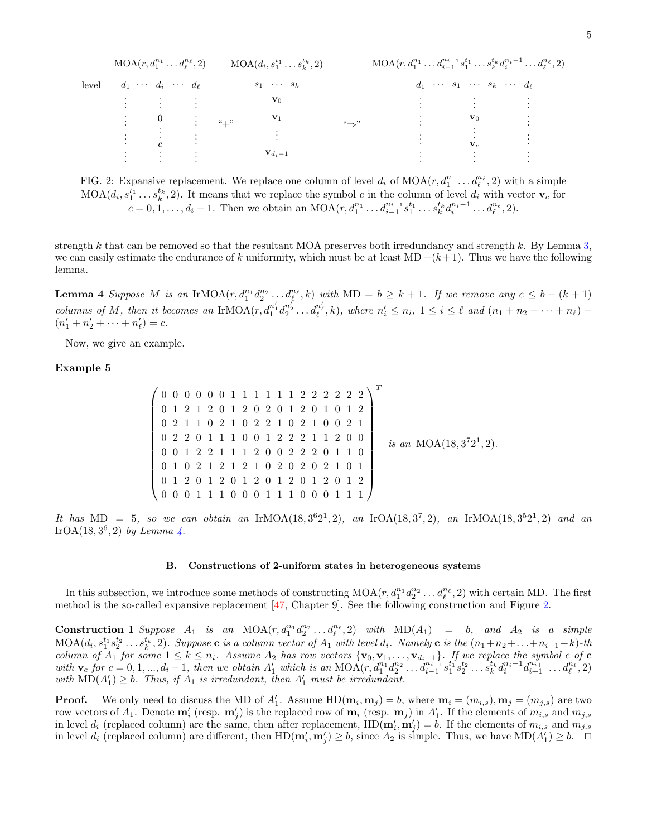|       |  | $MOA(r, d_1^{n_1} \ldots d_\ell^{n_\ell}, 2)$              |  | $\mathrm{MOA}(d_{i}, s_{1}^{t_{1}} \ldots s_{k}^{t_{k}}, 2)$ |                      |                  | $MOA(r, d_1^{n_1} \ldots d_{i-1}^{n_{i-1}} s_1^{t_1} \ldots s_k^{t_k} d_i^{n_i-1} \ldots d_\ell^{n_\ell}, 2)$ |           |  |
|-------|--|------------------------------------------------------------|--|--------------------------------------------------------------|----------------------|------------------|---------------------------------------------------------------------------------------------------------------|-----------|--|
| level |  | $d_1 \cdots d_i \cdots d_\ell$                             |  |                                                              | $s_1 \cdots s_k$     |                  | $d_1 \cdots s_1 \cdots s_k \cdots d_\ell$                                                                     |           |  |
|       |  |                                                            |  |                                                              | $\mathbf{v}_0$       |                  | $\mathbf{f}(\mathbf{x}) = \mathbf{f}(\mathbf{x})$ , where $\mathbf{f}(\mathbf{x})$                            |           |  |
|       |  | $\begin{array}{ccccc}\n\vdots & & 0 & \vdots\n\end{array}$ |  | $``+"$                                                       | $\mathbf{v}_1$       | $``\Rightarrow"$ | $\mathbf{v}_0$                                                                                                | $\bullet$ |  |
|       |  | $\overline{c}$                                             |  |                                                              |                      |                  | $\mathbf{v}_c$                                                                                                |           |  |
|       |  |                                                            |  |                                                              | $\mathbf{v}_{d_i-1}$ |                  |                                                                                                               |           |  |

<span id="page-4-1"></span>FIG. 2: Expansive replacement. We replace one column of level  $d_i$  of  $\text{MOA}(r, d_1^{n_1} \dots d_\ell^{n_\ell}, 2)$  with a simple  $\text{MOA}(d_i, s_1^{t_1} \dots s_k^{t_k}, 2)$ . It means that we replace the symbol c in the column of level  $d_i$  with vector  $\mathbf{v}_c$  for  $c = 0, 1, \ldots, d_i - 1$ . Then we obtain an MOA $(r, d_1^{n_1} \ldots d_{i-1}^{n_{i-1}} s_1^{t_1} \ldots s_k^{t_k} d_i^{n_i-1} \ldots d_\ell^{n_\ell}, 2)$ .

<span id="page-4-2"></span>strength k that can be removed so that the resultant MOA preserves both irredundancy and strength k. By Lemma [3,](#page-3-1) we can easily estimate the endurance of k uniformity, which must be at least MD  $-(k+1)$ . Thus we have the following lemma.

**Lemma 4** Suppose M is an IrMOA $(r, d_1^{n_1}d_2^{n_2} \ldots d_\ell^{n_\ell}, k)$  with MD =  $b \geq k+1$ . If we remove any  $c \leq b - (k+1)$ columns of M, then it becomes an IrMOA $(r, d_1^{n'_1}d_2^{n'_2} \ldots d_\ell^{n'_\ell}, k)$ , where  $n'_i \leq n_i$ ,  $1 \leq i \leq \ell$  and  $(n_1 + n_2 + \cdots + n_\ell)$  –  $(n'_1 + n'_2 + \cdots + n'_\ell) = c.$ 

Now, we give an example.

# Example 5

$$
\begin{pmatrix}\n0 & 0 & 0 & 0 & 0 & 0 & 1 & 1 & 1 & 1 & 1 & 1 & 2 & 2 & 2 & 2 & 2 & 2 \\
0 & 1 & 2 & 1 & 2 & 0 & 1 & 2 & 0 & 2 & 0 & 1 & 2 & 0 & 1 & 0 & 1 & 2 \\
0 & 2 & 1 & 1 & 0 & 2 & 1 & 0 & 2 & 2 & 1 & 0 & 2 & 1 & 0 & 0 & 2 & 1 \\
0 & 2 & 2 & 0 & 1 & 1 & 1 & 0 & 0 & 1 & 2 & 2 & 2 & 1 & 1 & 2 & 0 & 0 \\
0 & 0 & 1 & 2 & 2 & 1 & 1 & 1 & 2 & 0 & 0 & 2 & 2 & 2 & 0 & 1 & 1 & 0 \\
0 & 1 & 2 & 0 & 1 & 2 & 1 & 2 & 1 & 0 & 2 & 0 & 2 & 2 & 2 & 1 & 0 & 1 \\
0 & 1 & 2 & 0 & 1 & 2 & 0 & 1 & 2 & 0 & 1 & 2 & 0 & 1 & 2 \\
0 & 0 & 0 & 1 & 1 & 1 & 0 & 0 & 0 & 1 & 1 & 1 & 0 & 0 & 0 & 1 & 1 & 1\n\end{pmatrix} \quad is \text{ an } \text{MOA}(18, 3^72^1, 2).
$$

It has MD = 5, so we can obtain an IrMOA(18,3<sup>6</sup>2<sup>1</sup>,2), an IrOA(18,3<sup>7</sup>,2), an IrMOA(18,3<sup>5</sup>2<sup>1</sup>,2) and an IrOA $(18, 3^6, 2)$  by Lemma [4.](#page-4-2)

#### B. Constructions of 2-uniform states in heterogeneous systems

<span id="page-4-0"></span>In this subsection, we introduce some methods of constructing  $MOA(r, d_1^{n_1}d_2^{n_2} \ldots d_\ell^{n_\ell}, 2)$  with certain MD. The first method is the so-called expansive replacement [\[47,](#page-16-4) Chapter 9]. See the following construction and Figure [2.](#page-4-1)

**Construction 1** Suppose  $A_1$  is an  $MOA(r, d_1^{n_1}d_2^{n_2} \ldots d_\ell^{n_\ell}, 2)$  with  $MD(A_1) = b$ , and  $A_2$  is a simple  $\text{MOA}(d_i, s_1^{t_1} s_2^{t_2} \ldots s_k^{t_k}, 2)$ . Suppose **c** is a column vector of  $A_1$  with level  $d_i$ . Namely **c** is the  $(n_1+n_2+\ldots+n_{i-1}+k)$ -th column of  $A_1$  for some  $1 \leq k \leq n_i$ . Assume  $A_2$  has row vectors  $\{v_0, v_1, \ldots, v_{d_i-1}\}$ . If we replace the symbol c of c  $with \mathbf{v}_c$  for  $c = 0, 1, ..., d_i - 1$ , then we obtain  $A'_1$  which is an  $\text{MOA}(r, d_1^{n_1}d_2^{n_2}...d_{i-1}^{n_{i-1}}s_1^{t_1}s_2^{t_2}...s_k^{t_k}d_i^{n_i-1}d_{i+1}^{n_{i+1}}...d_{\ell}^{n_{\ell}}, 2)$ with  $MD(A'_1) \geq b$ . Thus, if  $A_1$  is irredundant, then  $A'_1$  must be irredundant.

**Proof.** We only need to discuss the MD of  $A'_1$ . Assume  $HD(\mathbf{m}_i, \mathbf{m}_j) = b$ , where  $\mathbf{m}_i = (m_{i,s}), \mathbf{m}_j = (m_{j,s})$  are two row vectors of  $A_1$ . Denote  $\mathbf{m}'_i$  (resp.  $\mathbf{m}'_j$ ) is the replaced row of  $\mathbf{m}_i$  (resp.  $\mathbf{m}_j$ ) in  $A'_1$ . If the elements of  $m_{i,s}$  and  $m_{j,s}$ in level  $d_i$  (replaced column) are the same, then after replacement,  $HD(\mathbf{m}'_i, \mathbf{m}'_j) = b$ . If the elements of  $m_{i,s}$  and  $m_{j,s}$ in level  $d_i$  (replaced column) are different, then  $HD(\mathbf{m}'_i, \mathbf{m}'_j) \geq b$ , since  $A_2$  is simple. Thus, we have  $MD(A'_1) \geq b$ .  $\Box$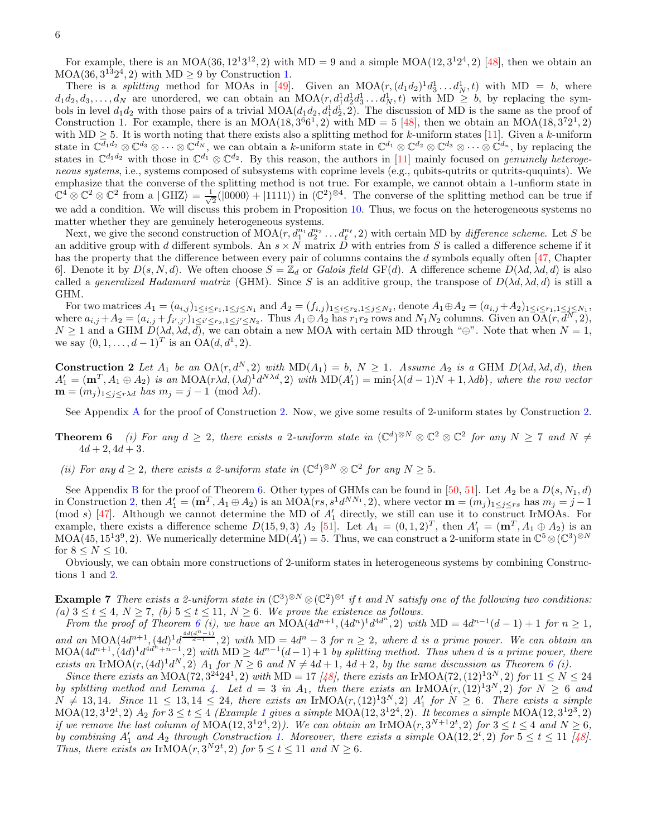For example, there is an MOA(36,  $12^{1}3^{12}$ , 2) with MD = 9 and a simple MOA(12,  $3^{1}2^{4}$ , 2) [\[48\]](#page-16-5), then we obtain an  $MOA(36, 3^{13}2^4, 2)$  with  $MD \ge 9$  by Construction [1.](#page-4-0)

There is a *splitting* method for MOAs in [\[49\]](#page-16-6). Given an  $MOA(r, (d_1d_2)^1d_3^1 \dots d_N^1, t)$  with MD = b, where  $d_1d_2, d_3, \ldots, d_N$  are unordered, we can obtain an  $\text{MOA}(r, d_1^1d_2^1d_3^1 \ldots d_N^1, t)$  with  $\text{MD} \geq b$ , by replacing the symbols in level  $d_1d_2$  with those pairs of a trivial  $MOA(d_1d_2, d_1^1d_2^1, 2)$ . The discussion of MD is the same as the proof of Construction [1.](#page-4-0) For example, there is an MOA(18,  $3^66^1$ , 2) with MD = 5 [\[48](#page-16-5)], then we obtain an MOA(18,  $3^72^1$ , 2) with MD  $\geq$  5. It is worth noting that there exists also a splitting method for k-uniform states [\[11](#page-15-1)]. Given a k-uniform state in  $\mathbb{C}^{d_1 d_2} \otimes \mathbb{C}^{d_3} \otimes \cdots \otimes \mathbb{C}^{d_N}$ , we can obtain a k-uniform state in  $\mathbb{C}^{d_1} \otimes \mathbb{C}^{d_2} \otimes \mathbb{C}^{d_3} \otimes \cdots \otimes \mathbb{C}^{d_n}$ , by replacing the states in  $\mathbb{C}^{d_1 d_2}$  with those in  $\mathbb{C}^{d_1} \otimes \mathbb{C}^{d_2}$ . By this reason, the authors in [\[11](#page-15-1)] mainly focused on *genuinely heteroge*neous systems, i.e., systems composed of subsystems with coprime levels (e.g., qubits-qutrits or qutrits-ququints). We emphasize that the converse of the splitting method is not true. For example, we cannot obtain a 1-unfiorm state in  $\mathbb{C}^4 \otimes \mathbb{C}^2 \otimes \mathbb{C}^2$  from a  $|\text{GHZ}\rangle = \frac{1}{\sqrt{2}}$  $\frac{1}{2}(|0000\rangle + |1111\rangle)$  in  $(\mathbb{C}^2)^{\otimes 4}$ . The converse of the splitting method can be true if we add a condition. We will discuss this probem in Proposition [10.](#page-7-1) Thus, we focus on the heterogeneous systems no matter whether they are genuinely heterogeneous systems.

Next, we give the second construction of  $\text{MOA}(r, d_1^{n_1}d_2^{n_2} \ldots d_\ell^{n_\ell}, 2)$  with certain MD by *difference scheme*. Let S be an additive group with d different symbols. An  $s \times N$  matrix D with entries from S is called a difference scheme if it has the property that the difference between every pair of columns contains the d symbols equally often [\[47,](#page-16-4) Chapter 6]. Denote it by  $D(s, N, d)$ . We often choose  $S = \mathbb{Z}_d$  or Galois field GF(d). A difference scheme  $D(\lambda d, \lambda d, d)$  is also called a generalized Hadamard matrix (GHM). Since S is an additive group, the transpose of  $D(\lambda d, \lambda d, d)$  is still a GHM.

For two matrices  $A_1 = (a_{i,j})_{1 \le i \le r_1, 1 \le j \le N_1}$  and  $A_2 = (f_{i,j})_{1 \le i \le r_2, 1 \le j \le N_2}$ , denote  $A_1 \oplus A_2 = (a_{i,j} + A_2)_{1 \le i \le r_1, 1 \le j \le N_1}$ where  $a_{i,j} + A_2 = (a_{i,j} + f_{i',j'})_1 \le i' \le r_2, 1 \le j' \le N_2$ . Thus  $A_1 \oplus A_2$  has  $r_1 r_2$  rows and  $N_1 N_2$  columns. Given an  $\overline{OA}(r, d^N, 2)$ ,  $N \geq 1$  and a GHM  $D(\lambda d, \lambda d, d)$ , we can obtain a new MOA with certain MD through "⊕". Note that when  $N = 1$ , we say  $(0, 1, ..., d - 1)^T$  is an  $OA(d, d^1, 2)$ .

<span id="page-5-1"></span>**Construction 2** Let  $A_1$  be an  $OA(r, d^N, 2)$  with  $MD(A_1) = b$ ,  $N \ge 1$ . Assume  $A_2$  is a GHM  $D(\lambda d, \lambda d, d)$ , then  $A'_1 = (\mathbf{m}^T, A_1 \oplus A_2)$  is an MOA(r)d,  $(\lambda d)^1 d^{N \lambda d}$ , 2) with  $MD(A'_1) = min\{\lambda(d-1)N + 1, \lambda db\}$ , where the row vector  $\mathbf{m} = (m_j)_{1 \leq j \leq r \lambda d}$  has  $m_j = j - 1 \pmod{\lambda d}$ .

<span id="page-5-0"></span>See Appendix [A](#page-11-0) for the proof of Construction [2.](#page-5-1) Now, we give some results of 2-uniform states by Construction [2.](#page-5-1)

**Theorem 6** (i) For any  $d \geq 2$ , there exists a 2-uniform state in  $(\mathbb{C}^d)^{\otimes N} \otimes \mathbb{C}^2 \otimes \mathbb{C}^2$  for any  $N \geq 7$  and  $N \neq 0$  $4d + 2$ ,  $4d + 3$ .

(ii) For any  $d \geq 2$ , there exists a 2-uniform state in  $(\mathbb{C}^d)^{\otimes N} \otimes \mathbb{C}^2$  for any  $N \geq 5$ .

See Appendix [B](#page-11-1) for the proof of Theorem [6.](#page-5-0) Other types of GHMs can be found in [\[50](#page-16-7), [51\]](#page-16-8). Let  $A_2$  be a  $D(s, N_1, d)$ in Construction [2,](#page-5-1) then  $A'_1 = (\mathbf{m}^T, A_1 \oplus A_2)$  is an MOA( $rs, s^1 d^{NN_1}, 2$ ), where vector  $\mathbf{m} = (m_j)_{1 \leq j \leq rs}$  has  $m_j = j - 1$ (mod s) [\[47\]](#page-16-4). Although we cannot determine the MD of  $A'_1$  directly, we still can use it to construct IrMOAs. For example, there exists a difference scheme  $D(15, 9, 3)$   $A_2$  [\[51\]](#page-16-8). Let  $A_1 = (0, 1, 2)^T$ , then  $A'_1 = (\mathbf{m}^T, A_1 \oplus A_2)$  is an  $MOA(45, 15<sup>139</sup>, 2)$ . We numerically determine  $MD(A'_1) = 5$ . Thus, we can construct a 2-uniform state in  $\mathbb{C}^5 \otimes (\mathbb{C}^3)^{\otimes N}$ for  $8 \le N \le 10$ .

<span id="page-5-2"></span>Obviously, we can obtain more constructions of 2-uniform states in heterogeneous systems by combining Constructions [1](#page-4-0) and [2.](#page-5-1)

**Example 7** There exists a 2-uniform state in  $(\mathbb{C}^3)^{\otimes N} \otimes (\mathbb{C}^2)^{\otimes t}$  if t and N satisfy one of the following two conditions: (a)  $3 \le t \le 4$ ,  $N \ge 7$ , (b)  $5 \le t \le 11$ ,  $N \ge 6$ . We prove the existence as follows.

From the proof of Theorem  $6$  (i), we have an MOA $(4d^{n+1}, (4d^n)^1d^{4d^n}, 2)$  with MD =  $4d^{n-1}(d-1) + 1$  for  $n \ge 1$ , and an MOA $(4d^{n+1}, (4d)^{1}d^{\frac{4d(d^{n-1})}{d-1}}, 2)$  with MD =  $4d^{n} - 3$  for  $n \geq 2$ , where d is a prime power. We can obtain an  $\text{MOA}(4d^{n+1}, (4d)^1 d^{4d^2+n-1}, 2)$  with  $\text{MD} \geq 4d^{n-1}(d-1)+1$  by splitting method. Thus when d is a prime power, there exists an IrMOA $(r, (4d)^1 d^N, 2)$   $A_1$  for  $N \geq 6$  $N \geq 6$  and  $N \neq 4d+1$ ,  $4d+2$ , by the same discussion as Theorem 6 (i).

Since there exists an MOA(72, 3<sup>24</sup>24<sup>1</sup>, 2) with MD = 17 [\[48](#page-16-5)], there exists an IrMOA(72, (12)<sup>13N</sup>, 2) for  $11 \le N \le 24$ by splitting method and Lemma [4.](#page-4-2) Let  $d = 3$  in  $A_1$ , then there exists an IrMOA $(r, (12)^13^N, 2)$  for  $N \geq 6$  and  $N \neq 13, 14$ . Since  $11 \leq 13, 14 \leq 24$ , there exists an IrMOA $(r, (12)^{13}, 2)$   $A'_{1}$  for  $N \geq 6$ . There exists a simple  $MOA(12, 3^{1}2^{t}, 2)$  $MOA(12, 3^{1}2^{t}, 2)$  $MOA(12, 3^{1}2^{t}, 2)$   $A_{2}$  for  $3 \leq t \leq 4$  (Example 1 gives a simple MOA(12,  $3^{1}2^{4}$ , 2). It becomes a simple MOA(12,  $3^{1}2^{3}$ , 2) if we remove the last column of  $\text{MOA}(12,3^{124},2)$ ). We can obtain an IrMOA(r,  $3^{N+12t},2$ ) for  $3 \le t \le 4$  and  $N \ge 6$ , by combining  $A'_1$  and  $A_2$  through Construction [1.](#page-4-0) Moreover, there exists a simple  $OA(12, 2^t, 2)$  for  $5 \le t \le 11$  [\[48](#page-16-5)]. Thus, there exists an IrMOA $(r, 3^N 2^t, 2)$  for  $5 \le t \le 11$  and  $N \ge 6$ .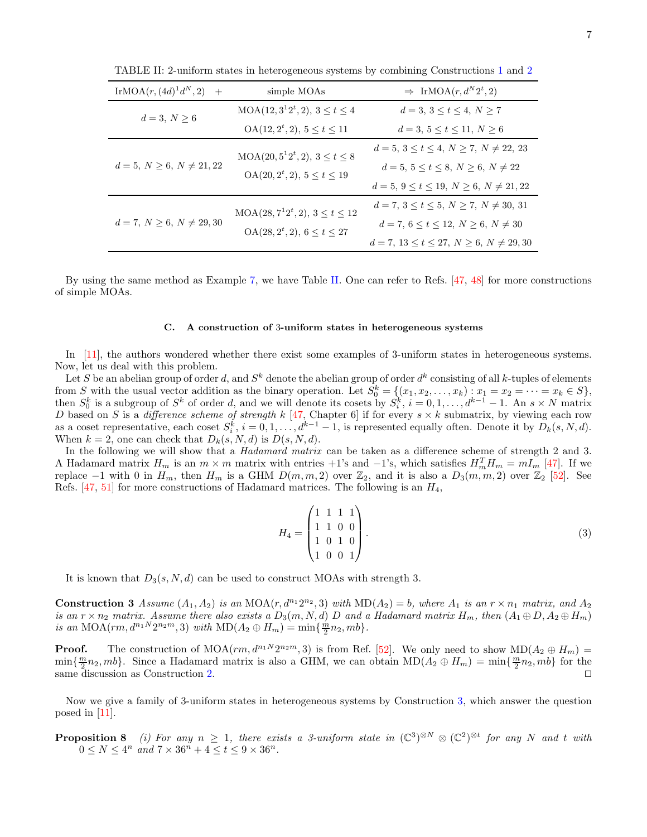<span id="page-6-0"></span>

| IrMOA $(r, (4d)^1 d^N, 2)$ +     | simple MOAs                                                              | $\Rightarrow$ IrMOA $(r, d^N 2^t, 2)$           |
|----------------------------------|--------------------------------------------------------------------------|-------------------------------------------------|
| $d = 3, N > 6$                   | $MOA(12, 3^12^t, 2), 3 \le t \le 4$                                      | $d = 3, 3 \le t \le 4, N \ge 7$                 |
|                                  | $OA(12, 2^t, 2), 5 \le t \le 11$                                         | $d = 3, 5 \le t \le 11, N \ge 6$                |
|                                  | $MOA(20, 5^12^t, 2), 3 \le t \le 8$<br>$OA(20, 2^t, 2), 5 \le t \le 19$  | $d = 5, 3 \le t \le 4, N \ge 7, N \ne 22, 23$   |
| $d = 5, N \geq 6, N \neq 21, 22$ |                                                                          | $d = 5, 5 \le t \le 8, N \ge 6, N \ne 22$       |
|                                  |                                                                          | $d = 5, 9 \le t \le 19, N \ge 6, N \ne 21, 22$  |
|                                  | $MOA(28, 7^12^t, 2), 3 \le t \le 12$<br>$OA(28, 2^t, 2), 6 \le t \le 27$ | $d = 7, 3 \le t \le 5, N \ge 7, N \ne 30, 31$   |
| $d = 7, N \ge 6, N \ne 29, 30$   |                                                                          | $d = 7, 6 \le t \le 12, N \ge 6, N \ne 30$      |
|                                  |                                                                          | $d = 7, 13 \le t \le 27, N \ge 6, N \ne 29, 30$ |

TABLE II: 2-uniform states in heterogeneous systems by combining Constructions [1](#page-4-0) and [2](#page-5-1)

By using the same method as Example [7,](#page-5-2) we have Table [II.](#page-6-0) One can refer to Refs. [\[47,](#page-16-4) [48\]](#page-16-5) for more constructions of simple MOAs.

#### C. A construction of 3-uniform states in heterogeneous systems

In [\[11\]](#page-15-1), the authors wondered whether there exist some examples of 3-uniform states in heterogeneous systems. Now, let us deal with this problem.

Let S be an abelian group of order d, and  $S^k$  denote the abelian group of order  $d^k$  consisting of all k-tuples of elements from S with the usual vector addition as the binary operation. Let  $S_0^k = \{(x_1, x_2, \ldots, x_k) : x_1 = x_2 = \cdots = x_k \in S\},$ then  $S_0^k$  is a subgroup of  $S^k$  of order d, and we will denote its cosets by  $S_i^k$ ,  $i = 0, 1, ..., d^{k-1} - 1$ . An  $s \times N$  matrix D based on S is a difference scheme of strength k [\[47,](#page-16-4) Chapter 6] if for every  $s \times k$  submatrix, by viewing each row as a coset representative, each coset  $S_i^k$ ,  $i = 0, 1, ..., d^{k-1} - 1$ , is represented equally often. Denote it by  $D_k(s, N, d)$ . When  $k = 2$ , one can check that  $D_k(s, N, d)$  is  $D(s, N, d)$ .

In the following we will show that a *Hadamard matrix* can be taken as a difference scheme of strength 2 and 3. A Hadamard matrix  $H_m$  is an  $m \times m$  matrix with entries +1's and -1's, which satisfies  $H_m^T H_m = mI_m$  [\[47\]](#page-16-4). If we replace −1 with 0 in  $H_m$ , then  $H_m$  is a GHM  $D(m, m, 2)$  over  $\mathbb{Z}_2$ , and it is also a  $D_3(m, m, 2)$  over  $\mathbb{Z}_2$  [\[52\]](#page-16-9). See Refs.  $[47, 51]$  $[47, 51]$  for more constructions of Hadamard matrices. The following is an  $H_4$ ,

$$
H_4 = \begin{pmatrix} 1 & 1 & 1 & 1 \\ 1 & 1 & 0 & 0 \\ 1 & 0 & 1 & 0 \\ 1 & 0 & 0 & 1 \end{pmatrix} . \tag{3}
$$

<span id="page-6-2"></span>It is known that  $D_3(s, N, d)$  can be used to construct MOAs with strength 3.

**Construction 3** Assume  $(A_1, A_2)$  is an MOA $(r, d^{n_1}2^{n_2}, 3)$  with  $MD(A_2) = b$ , where  $A_1$  is an  $r \times n_1$  matrix, and  $A_2$ is an  $r \times n_2$  matrix. Assume there also exists a  $D_3(m, N, d)$  D and a Hadamard matrix  $H_m$ , then  $(A_1 \oplus D, A_2 \oplus H_m)$ is an MOA( $rm, d^{n_1N}2^{n_2m}, 3)$  with MD( $A_2 \oplus H_m$ ) = min{ $\frac{\dot{m}}{2}n_2, mb$  }.

**Proof.** The construction of  $\text{MOA}(rm, d^{n_1N}2^{n_2m}, 3)$  is from Ref. [\[52](#page-16-9)]. We only need to show  $\text{MD}(A_2 \oplus H_m)$  =  $\min\{\frac{m}{2}n_2, mb\}$ . Since a Hadamard matrix is also a GHM, we can obtain  $MD(A_2 \oplus H_m) = \min\{\frac{m}{2}n_2, mb\}$  for the same discussion as Construction [2.](#page-5-1) □ □

<span id="page-6-1"></span>Now we give a family of 3-uniform states in heterogeneous systems by Construction [3,](#page-6-2) which answer the question posed in [\[11\]](#page-15-1).

**Proposition 8** (i) For any  $n \geq 1$ , there exists a 3-uniform state in  $(\mathbb{C}^3)^{\otimes N} \otimes (\mathbb{C}^2)^{\otimes t}$  for any N and t with  $0 \le N \le 4^n$  and  $7 \times 36^n + 4 \le t \le 9 \times 36^n$ .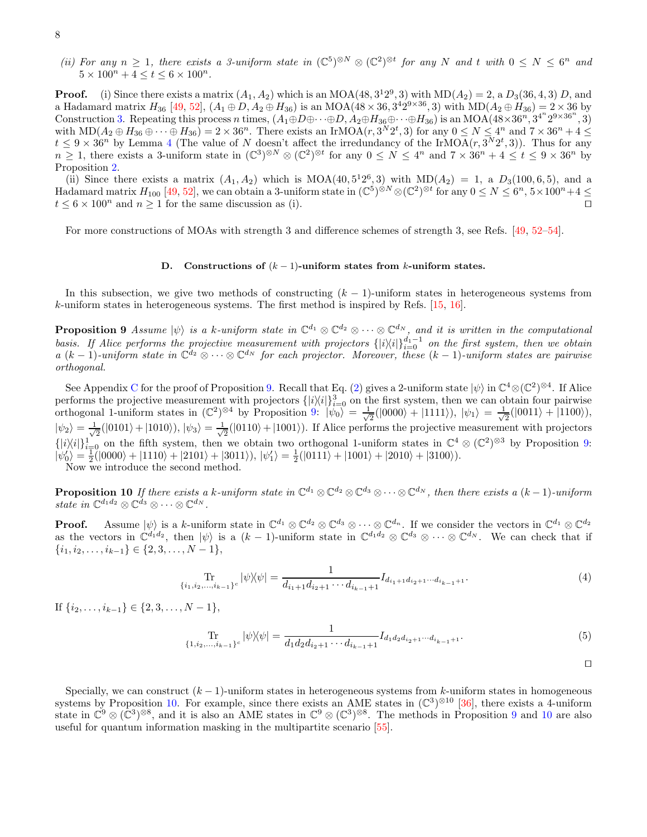(ii) For any  $n \geq 1$ , there exists a 3-uniform state in  $(\mathbb{C}^5)^{\otimes N} \otimes (\mathbb{C}^2)^{\otimes t}$  for any N and t with  $0 \leq N \leq 6^n$  and  $5 \times 100^n + 4 \le t \le 6 \times 100^n$ .

**Proof.** (i) Since there exists a matrix  $(A_1, A_2)$  which is an MOA(48,  $3^12^9$ , 3) with MD( $A_2$ ) = 2, a  $D_3(36, 4, 3)$  D, and a Hadamard matrix  $H_{36}$  [\[49,](#page-16-6) [52](#page-16-9)],  $(A_1 \oplus D, A_2 \oplus H_{36})$  is an MOA(48  $\times$  36,  $3^42^{9\times36}$ , 3) with MD( $A_2 \oplus H_{36}$ ) = 2  $\times$  36 by Construction [3.](#page-6-2) Repeating this process n times,  $(A_1 \oplus D \oplus \cdots \oplus D, A_2 \oplus H_{36} \oplus \cdots \oplus H_{36})$  is an MOA( $48 \times 36^n$ ,  $3^{4^n}2^{9 \times 36^n}$ , 3) with  $MD(A_2 \oplus H_{36} \oplus \cdots \oplus H_{36}) = 2 \times 36^n$ . There exists an IrMOA $(r, 3^N 2^t, 3)$  for any  $0 \le N \le 4^n$  and  $7 \times 36^n + 4 \le$  $t \leq 9 \times 36^n$  by Lemma [4](#page-4-2) (The value of N doesn't affect the irredundancy of the IrMOA $(r, 3^N 2^t, 3)$ ). Thus for any  $n \geq 1$ , there exists a 3-uniform state in  $(\mathbb{C}^3)^{\otimes N} \otimes (\mathbb{C}^2)^{\otimes t}$  for any  $0 \leq N \leq 4^n$  and  $7 \times 36^n + 4 \leq t \leq 9 \times 36^n$  by Proposition [2.](#page-3-0)

(ii) Since there exists a matrix  $(A_1, A_2)$  which is  $MOA(40, 5^12^6, 3)$  with  $MD(A_2) = 1$ , a  $D_3(100, 6, 5)$ , and a Hadamard matrix  $H_{100}$  [\[49,](#page-16-6) [52\]](#page-16-9), we can obtain a 3-uniform state in  $(\mathbb{C}^5)^{\hat{\otimes}N} \otimes (\mathbb{C}^2)^{\otimes t}$  for any  $0 \le N \le 6^n$ ,  $5 \times 100^n + 4 \le$  $t \leq 6 \times 100^n$  and  $n \geq 1$  for the same discussion as (i). □

For more constructions of MOAs with strength 3 and difference schemes of strength 3, see Refs. [\[49,](#page-16-6) [52–](#page-16-9)[54\]](#page-16-10).

### D. Constructions of  $(k-1)$ -uniform states from k-uniform states.

<span id="page-7-0"></span>In this subsection, we give two methods of constructing  $(k-1)$ -uniform states in heterogeneous systems from k-uniform states in heterogeneous systems. The first method is inspired by Refs. [\[15,](#page-15-8) [16\]](#page-15-10).

**Proposition 9** Assume  $|\psi\rangle$  is a k-uniform state in  $\mathbb{C}^{d_1} \otimes \mathbb{C}^{d_2} \otimes \cdots \otimes \mathbb{C}^{d_N}$ , and it is written in the computational basis. If Alice performs the projective measurement with projectors  $\{|i\rangle\langle i|\}_{i=0}^{d_1-1}$  on the first system, then we obtain  $a (k-1)$ -uniform state in  $\mathbb{C}^{d_2} \otimes \cdots \otimes \mathbb{C}^{d_N}$  for each projector. Moreover, these  $(k-1)$ -uniform states are pairwise orthogonal.

See Appendix [C](#page-12-0) for the proof of Proposition [9.](#page-7-0) Recall that Eq. [\(2\)](#page-3-3) gives a 2-uniform state  $|\psi\rangle$  in  $\mathbb{C}^4 \otimes (\mathbb{C}^2)^{\otimes 4}$ . If Alice performs the projective measurement with projectors  $\{|i\rangle\langle i|\}_{i=0}^3$  on the first system, then we can obtain four pairwise orthogonal 1-uniform states in  $(\mathbb{C}^2)^{\otimes 4}$  by Proposition [9:](#page-7-0)  $|\psi_0\rangle = \frac{1}{\sqrt{2}}$  $\frac{1}{2}(|0000\rangle + |1111\rangle), |\psi_1\rangle = \frac{1}{\sqrt{2}}$  $\frac{1}{2}(|0011\rangle + |1100\rangle),$  $|\psi_2\rangle = \frac{1}{\sqrt{2}}$  $\frac{1}{2}(|0101\rangle+|1010\rangle), |\psi_3\rangle = \frac{1}{\sqrt{2}}$  $\frac{1}{2}(|0110\rangle+|1001\rangle)$ . If Alice performs the projective measurement with projectors  $\{|i\rangle\langle i|\}_{i=0}^{1}$  on the fifth system, then we obtain two orthogonal 1-uniform states in  $\mathbb{C}^{4}\otimes(\mathbb{C}^{2})^{\otimes3}$  by Proposition [9:](#page-7-0)  $|\psi'_0\rangle = \frac{1}{2}(|0000\rangle + |1110\rangle + |2101\rangle + |3011\rangle), |\psi'_1\rangle = \frac{1}{2}(|0111\rangle + |1001\rangle + |2010\rangle + |3100\rangle).$ Now we introduce the second method.

<span id="page-7-1"></span>**Proposition 10** If there exists a k-uniform state in  $\mathbb{C}^{d_1} \otimes \mathbb{C}^{d_2} \otimes \mathbb{C}^{d_3} \otimes \cdots \otimes \mathbb{C}^{d_N}$ , then there exists a  $(k-1)$ -uniform state in  $\mathbb{C}^{d_1 d_2} \otimes \mathbb{C}^{d_3} \otimes \cdots \otimes \mathbb{C}^{d_N}$ .

**Proof.** Assume  $|\psi\rangle$  is a k-uniform state in  $\mathbb{C}^{d_1} \otimes \mathbb{C}^{d_2} \otimes \mathbb{C}^{d_3} \otimes \cdots \otimes \mathbb{C}^{d_n}$ . If we consider the vectors in  $\mathbb{C}^{d_1} \otimes \mathbb{C}^{d_2}$ as the vectors in  $\mathbb{C}^{d_1d_2}$ , then  $|\psi\rangle$  is a  $(k-1)$ -uniform state in  $\mathbb{C}^{d_1d_2} \otimes \mathbb{C}^{d_3} \otimes \cdots \otimes \mathbb{C}^{d_N}$ . We can check that if  $\{i_1, i_2, \ldots, i_{k-1}\} \in \{2, 3, \ldots, N-1\},\$ 

$$
\lim_{\{i_1, i_2, \dots, i_{k-1}\}^c} |\psi\rangle\langle\psi| = \frac{1}{d_{i_1+1}d_{i_2+1}\cdots d_{i_{k-1}+1}} I_{d_{i_1+1}d_{i_2+1}\cdots d_{i_{k-1}+1}}.\tag{4}
$$

If  $\{i_2, \ldots, i_{k-1}\}$  ∈  $\{2, 3, \ldots, N-1\},\$ 

$$
\lim_{\{1,i_2,\dots,i_{k-1}\}^c} |\psi\rangle\langle\psi| = \frac{1}{d_1 d_2 d_{i_2+1} \cdots d_{i_{k-1}+1}} I_{d_1 d_2 d_{i_2+1} \cdots d_{i_{k-1}+1}}.\tag{5}
$$

⊓⊔

Specially, we can construct  $(k-1)$ -uniform states in heterogeneous systems from k-uniform states in homogeneous systems by Proposition [10.](#page-7-1) For example, since there exists an AME states in  $(\mathbb{C}^3)^{\otimes 10}$  [\[36](#page-15-20)], there exists a 4-uniform state in  $\mathbb{C}^9 \otimes (\mathbb{C}^3)^{\otimes 8}$  $\mathbb{C}^9 \otimes (\mathbb{C}^3)^{\otimes 8}$  $\mathbb{C}^9 \otimes (\mathbb{C}^3)^{\otimes 8}$ , and it is also an AME states in  $\mathbb{C}^9 \otimes (\mathbb{C}^3)^{\otimes 8}$ . The methods in Proposition 9 and [10](#page-7-1) are also useful for quantum information masking in the multipartite scenario [\[55\]](#page-16-11).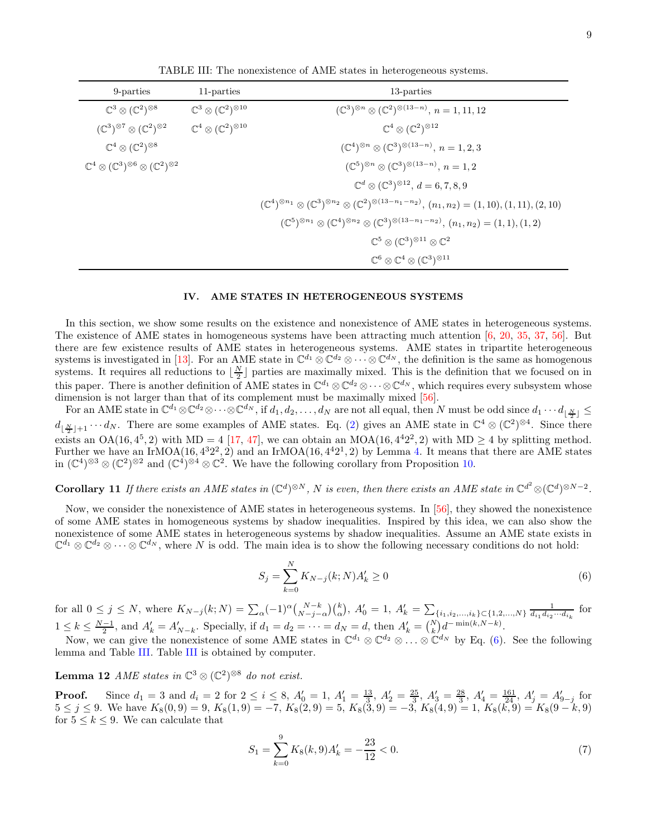| 9-parties                                                                            | 11-parties                                         | 13-parties                                                                                                                                                          |
|--------------------------------------------------------------------------------------|----------------------------------------------------|---------------------------------------------------------------------------------------------------------------------------------------------------------------------|
| $\mathbb{C}^3 \otimes (\mathbb{C}^2)^{\otimes 8}$                                    | $\mathbb{C}^3\otimes(\mathbb{C}^2)^{\otimes 10}$   | $(\mathbb{C}^3)^{\otimes n} \otimes (\mathbb{C}^2)^{\otimes (13-n)}, n = 1, 11, 12$                                                                                 |
| $(\mathbb{C}^3)^{\otimes 7} \otimes (\mathbb{C}^2)^{\otimes 2}$                      | $\mathbb{C}^4 \otimes (\mathbb{C}^2)^{\otimes 10}$ | $\mathbb{C}^4 \otimes (\mathbb{C}^2)^{\otimes 12}$                                                                                                                  |
| $\mathbb{C}^4 \otimes (\mathbb{C}^2)^{\otimes 8}$                                    |                                                    | $(\mathbb{C}^{4})^{\otimes n} \otimes (\mathbb{C}^{3})^{\otimes (13-n)}, n = 1, 2, 3$                                                                               |
| $\mathbb{C}^4 \otimes (\mathbb{C}^3)^{\otimes 6} \otimes (\mathbb{C}^2)^{\otimes 2}$ |                                                    | $(\mathbb{C}^5)^{\otimes n} \otimes (\mathbb{C}^3)^{\otimes (13-n)}, n = 1,2$                                                                                       |
|                                                                                      |                                                    | $\mathbb{C}^{d} \otimes (\mathbb{C}^{3})^{\otimes 12}, d = 6, 7, 8, 9$                                                                                              |
|                                                                                      |                                                    | $(\mathbb{C}^{4})^{\otimes n_{1}} \otimes (\mathbb{C}^{3})^{\otimes n_{2}} \otimes (\mathbb{C}^{2})^{\otimes (13-n_{1}-n_{2})}, (n_{1},n_{2})=(1,10),(1,11),(2,10)$ |
|                                                                                      |                                                    | $(\mathbb{C}^{5})^{\otimes n_{1}} \otimes (\mathbb{C}^{4})^{\otimes n_{2}} \otimes (\mathbb{C}^{3})^{\otimes (13-n_{1}-n_{2})}, (n_{1},n_{2})=(1,1),(1,2)$          |
|                                                                                      |                                                    | $\mathbb{C}^5 \otimes (\mathbb{C}^3)^{\otimes 11} \otimes \mathbb{C}^2$                                                                                             |
|                                                                                      |                                                    | $\mathbb{C}^6\otimes\mathbb{C}^4\otimes(\mathbb{C}^3)^{\otimes 11}$                                                                                                 |

<span id="page-8-0"></span>TABLE III: The nonexistence of AME states in heterogeneous systems.

# <span id="page-8-3"></span>IV. AME STATES IN HETEROGENEOUS SYSTEMS

In this section, we show some results on the existence and nonexistence of AME states in heterogeneous systems. The existence of AME states in homogeneous systems have been attracting much attention [\[6,](#page-14-4) [20](#page-15-12), [35,](#page-15-19) [37](#page-15-21), [56\]](#page-16-12). But there are few existence results of AME states in heterogeneous systems. AME states in tripartite heterogeneous systems is investigated in [\[13\]](#page-15-3). For an AME state in  $\mathbb{C}^{d_1} \otimes \mathbb{C}^{d_2} \otimes \cdots \otimes \mathbb{C}^{d_N}$ , the definition is the same as homogenous systems. It requires all reductions to  $\lfloor \frac{N}{2} \rfloor$  parties are maximally mixed. This is the definition that we focused on in this paper. There is another definition of AME states in  $\mathbb{C}^{d_1} \otimes \mathbb{C}^{d_2} \otimes \cdots \otimes \mathbb{C}^{d_N}$ , which requires every subsystem whose dimension is not larger than that of its complement must be maximally mixed [\[56](#page-16-12)].

 $\text{For an AME state in } \mathbb{C}^{d_1}\otimes\mathbb{C}^{d_2}\otimes\cdots\otimes\mathbb{C}^{d_N}, \text{if } d_1,d_2,\ldots,d_N \text{ are not all equal, then } N \text{ must be odd since } d_1\cdots d_{\lfloor \frac{N}{2}\rfloor}\leq 1.$  $d_{\lfloor \frac{N}{2} \rfloor+1} \cdots d_N$ . There are some examples of AME states. Eq. [\(2\)](#page-3-3) gives an AME state in  $\mathbb{C}^4 \otimes (\mathbb{C}^2)^{\otimes 4}$ . Since there exists an OA(16,  $4^5$ , 2) with MD = 4 [\[17,](#page-15-23) [47\]](#page-16-4), we can obtain an MOA(16,  $4^42^2$ , 2) with MD  $\geq$  4 by splitting method. Further we have an IrMOA(16,  $4^{3}2^{2}$ , 2) and an IrMOA(16,  $4^{4}2^{1}$ , 2) by Lemma [4.](#page-4-2) It means that there are AME states in  $(\mathbb{C}^4)^{\otimes 3} \otimes (\mathbb{C}^2)^{\otimes 2}$  and  $(\mathbb{C}^4)^{\otimes 4} \otimes \mathbb{C}^2$ . We have the following corollary from Proposition [10.](#page-7-1)

<span id="page-8-1"></span>**Corollary 11** If there exists an AME states in  $(\mathbb{C}^d)^{\otimes N}$ , N is even, then there exists an AME state in  $\mathbb{C}^{d^2} \otimes (\mathbb{C}^d)^{\otimes N-2}$ .

Now, we consider the nonexistence of AME states in heterogeneous systems. In [\[56\]](#page-16-12), they showed the nonexistence of some AME states in homogeneous systems by shadow inequalities. Inspired by this idea, we can also show the nonexistence of some AME states in heterogeneous systems by shadow inequalities. Assume an AME state exists in  $\mathbb{C}^{d_1} \otimes \mathbb{C}^{d_2} \otimes \cdots \otimes \mathbb{C}^{d_N}$ , where N is odd. The main idea is to show the following necessary conditions do not hold:

<span id="page-8-4"></span>
$$
S_j = \sum_{k=0}^{N} K_{N-j}(k;N)A'_k \ge 0
$$
\n(6)

for all  $0 \le j \le N$ , where  $K_{N-j}(k;N) = \sum_{\alpha} (-1)^{\alpha} {N-k \choose N-j-\alpha} {k \choose \alpha}$ ,  $A'_{0} = 1$ ,  $A'_{k} = \sum_{\{i_{1},i_{2},...,i_{k}\} \subset \{1,2,...,N\}} \frac{1}{d_{i_{1}} d_{i_{2}} \cdots d_{i_{k}}}$  for  $1 \leq k \leq \frac{N-1}{2}$ , and  $A'_k = A'_{N-k}$ . Specially, if  $d_1 = d_2 = \cdots = d_N = d$ , then  $A'_k = {N \choose k} d^{-\min(k, N-k)}$ .

<span id="page-8-2"></span>Now, we can give the nonexistence of some AME states in  $\mathbb{C}^{d_1} \otimes \mathbb{C}^{d_2} \otimes \ldots \otimes \mathbb{C}^{d_N}$  by Eq. [\(6\)](#page-8-4). See the following lemma and Table [III.](#page-8-0) Table [III](#page-8-0) is obtained by computer.

**Lemma 12** AME states in  $\mathbb{C}^3 \otimes (\mathbb{C}^2)^{\otimes 8}$  do not exist.

**Proof.** Since  $d_1 = 3$  and  $d_i = 2$  for  $2 \le i \le 8$ ,  $A'_0 = 1$ ,  $A'_1 = \frac{13}{3}$ ,  $A'_2 = \frac{25}{3}$ ,  $A'_3 = \frac{28}{3}$ ,  $A'_4 = \frac{161}{24}$ ,  $A'_j = A'_{9-j}$  for  $5 \leq j \leq 9$ . We have  $K_8(0, 9) = 9$ ,  $K_8(1, 9) = -7$ ,  $K_8(2, 9) = 5$ ,  $K_8(3, 9) = -3$ ,  $K_8(4, 9) = 1$ ,  $K_8(k, 9) = K_8(9 - k, 9)$ for  $5 \leq k \leq 9$ . We can calculate that

$$
S_1 = \sum_{k=0}^{9} K_8(k, 9) A'_k = -\frac{23}{12} < 0. \tag{7}
$$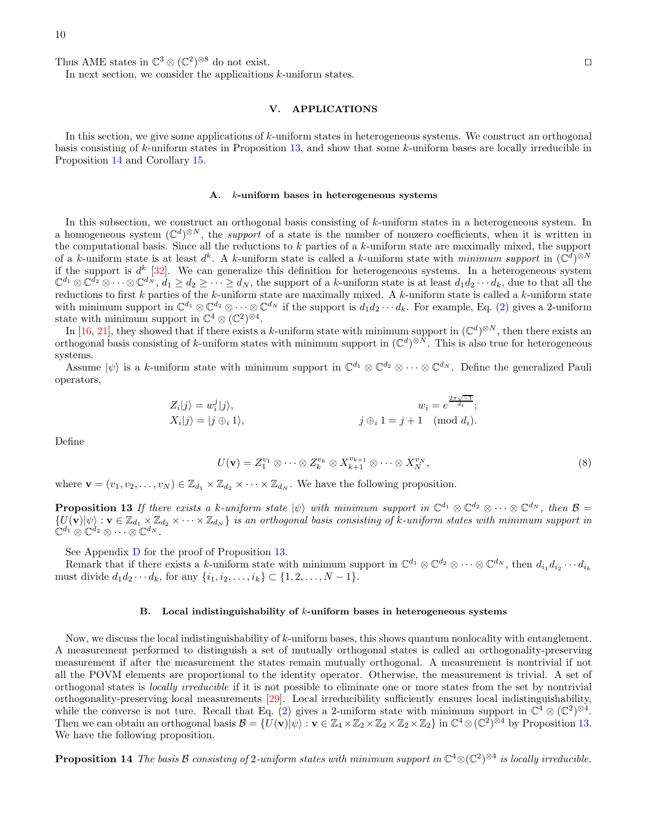Thus AME states in  $\mathbb{C}^3 \otimes (\mathbb{C}^2)^{\otimes 8}$  do not exist.  $\Box$ 

In next section, we consider the applicaitions  $k$ -uniform states.

### <span id="page-9-2"></span>V. APPLICATIONS

In this section, we give some applications of k-uniform states in heterogeneous systems. We construct an orthogonal basis consisting of k-uniform states in Proposition [13,](#page-9-0) and show that some k-uniform bases are locally irreducible in Proposition [14](#page-9-1) and Corollary [15.](#page-10-0)

#### A. k-uniform bases in heterogeneous systems

In this subsection, we construct an orthogonal basis consisting of k-uniform states in a heterogeneous system. In a homogeneous system  $(\mathbb{C}^d)^{\otimes N}$ , the *support* of a state is the number of nonzero coefficients, when it is written in the computational basis. Since all the reductions to  $k$  parties of a  $k$ -uniform state are maximally mixed, the support of a k-uniform state is at least  $d^k$ . A k-uniform state is called a k-uniform state with minimum support in  $(\mathbb{C}^d)^{\otimes N}$ if the support is  $d^k$  [\[32\]](#page-15-24). We can generalize this definition for heterogeneous systems. In a heterogeneous system  $\mathbb{C}^{d_1} \otimes \mathbb{C}^{\overline{d_2}} \otimes \cdots \otimes \mathbb{C}^{d_N}, d_1 \geq d_2 \geq \cdots \geq d_N$ , the support of a k-uniform state is at least  $d_1 d_2 \cdots d_k$ , due to that all the reductions to first k parties of the k-uniform state are maximally mixed. A k-uniform state is called a k-uniform state with minimum support in  $\mathbb{C}^{d_1} \otimes \mathbb{C}^{d_2} \otimes \cdots \otimes \mathbb{C}^{d_N}$  if the support is  $d_1 d_2 \cdots d_k$ . For example, Eq. [\(2\)](#page-3-3) gives a 2-uniform state with minimum support in  $\mathbb{C}^4 \otimes (\mathbb{C}^2)^{\otimes 4}$ .

In [\[16,](#page-15-10) [21](#page-15-25)], they showed that if there exists a k-uniform state with minimum support in  $(\mathbb{C}^d)^{\otimes N}$ , then there exists an orthogonal basis consisting of k-uniform states with minimum support in  $(\mathbb{C}^d)^{\otimes N}$ . This is also true for heterogeneous systems.

Assume  $|\psi\rangle$  is a k-uniform state with minimum support in  $\mathbb{C}^{d_1} \otimes \mathbb{C}^{d_2} \otimes \cdots \otimes \mathbb{C}^{d_N}$ . Define the generalized Pauli operators,

$$
Z_i|j\rangle = w_i^j|j\rangle, \qquad w_i = e^{\frac{2\pi\sqrt{-1}}{d_i}};
$$
  

$$
X_i|j\rangle = |j \oplus_i 1\rangle, \qquad j \oplus_i 1 = j+1 \pmod{d_i}.
$$

Define

$$
U(\mathbf{v}) = Z_1^{v_1} \otimes \cdots \otimes Z_k^{v_k} \otimes X_{k+1}^{v_{k+1}} \otimes \cdots \otimes X_N^{v_N},
$$
\n(8)

<span id="page-9-0"></span>where  $\mathbf{v} = (v_1, v_2, \dots, v_N) \in \mathbb{Z}_{d_1} \times \mathbb{Z}_{d_2} \times \dots \times \mathbb{Z}_{d_N}$ . We have the following proposition.

**Proposition 13** If there exists a k-uniform state  $|\psi\rangle$  with minimum support in  $\mathbb{C}^{d_1} \otimes \mathbb{C}^{d_2} \otimes \cdots \otimes \mathbb{C}^{d_N}$ , then  $\mathcal{B} =$  $\{U(\mathbf{v})|\psi\rangle : \mathbf{v} \in \mathbb{Z}_{d_1} \times \mathbb{Z}_{d_2} \times \cdots \times \mathbb{Z}_{d_N}\}$  is an orthogonal basis consisting of k-uniform states with minimum support in  $\mathbb{C}^{d_1} \otimes \mathbb{C}^{d_2} \otimes \cdots \otimes \mathbb{C}^{d_N}$ .

See Appendix [D](#page-12-1) for the proof of Proposition [13.](#page-9-0)

Remark that if there exists a k-uniform state with minimum support in  $\mathbb{C}^{d_1} \otimes \mathbb{C}^{d_2} \otimes \cdots \otimes \mathbb{C}^{d_N}$ , then  $d_{i_1} d_{i_2} \cdots d_{i_k}$ must divide  $d_1 d_2 \cdots d_k$ , for any  $\{i_1, i_2, \ldots, i_k\} \subset \{1, 2, \ldots, N-1\}$ .

### <span id="page-9-1"></span>B. Local indistinguishability of  $k$ -uniform bases in heterogeneous systems

Now, we discuss the local indistinguishability of k-uniform bases, this shows quantum nonlocality with entanglement. A measurement performed to distinguish a set of mutually orthogonal states is called an orthogonality-preserving measurement if after the measurement the states remain mutually orthogonal. A measurement is nontrivial if not all the POVM elements are proportional to the identity operator. Otherwise, the measurement is trivial. A set of orthogonal states is locally irreducible if it is not possible to eliminate one or more states from the set by nontrivial orthogonality-preserving local measurements [\[29\]](#page-15-15). Local irreducibility sufficiently ensures local indistinguishability, while the converse is not ture. Recall that Eq. [\(2\)](#page-3-3) gives a 2-uniform state with minimum support in  $\mathbb{C}^4 \otimes (\mathbb{C}^2)^{\otimes 4}$ . Then we can obtain an orthogonal basis  $\mathcal{B} = \{ \overline{U}(\mathbf{v}) | \psi \rangle : \mathbf{v} \in \mathbb{Z}_4 \times \mathbb{Z}_2 \times \mathbb{Z}_2 \times \mathbb{Z}_2 \times \mathbb{Z}_2 \times \mathbb{Z}_2 \}$  in  $\mathbb{C}^4 \otimes (\mathbb{C}^2)^{\otimes 4}$  by Proposition [13.](#page-9-0) We have the following proposition.

**Proposition 14** The basis  $\beta$  consisting of 2-uniform states with minimum support in  $\mathbb{C}^4 \otimes (\mathbb{C}^2)^{\otimes 4}$  is locally irreducible.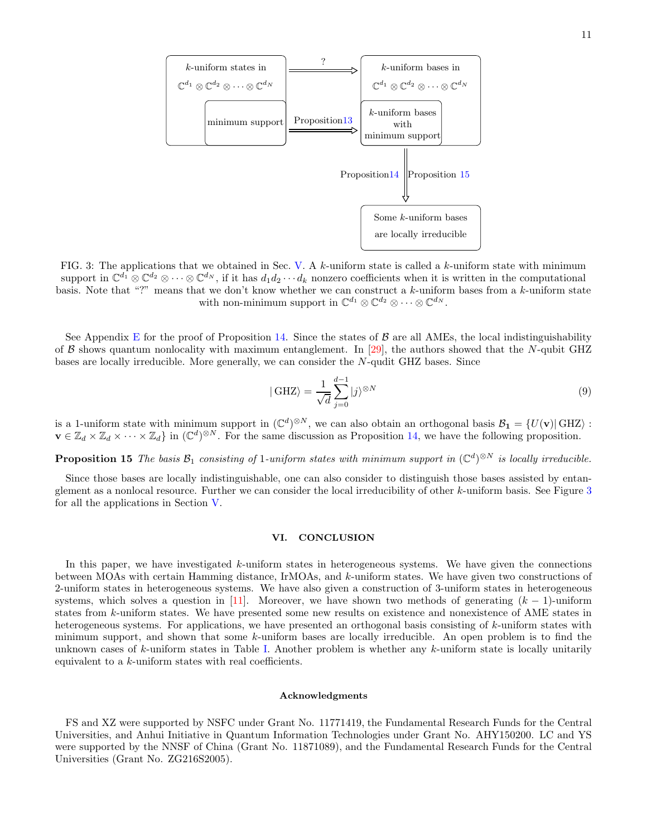

<span id="page-10-1"></span>FIG. 3: The applications that we obtained in Sec. [V.](#page-9-2) A k-uniform state is called a k-uniform state with minimum support in  $\mathbb{C}^{d_1} \otimes \mathbb{C}^{d_2} \otimes \cdots \otimes \mathbb{C}^{d_N}$ , if it has  $d_1 d_2 \cdots d_k$  nonzero coefficients when it is written in the computational basis. Note that "?" means that we don't know whether we can construct a k-uniform bases from a k-uniform state with non-minimum support in  $\mathbb{C}^{d_1} \otimes \mathbb{C}^{d_2} \otimes \cdots \otimes \mathbb{C}^{d_N}$ .

See Appendix [E](#page-13-0) for the proof of Proposition [14.](#page-9-1) Since the states of  $\beta$  are all AMEs, the local indistinguishability of B shows quantum nonlocality with maximum entanglement. In [\[29](#page-15-15)], the authors showed that the N-qubit GHZ bases are locally irreducible. More generally, we can consider the N-qudit GHZ bases. Since

<span id="page-10-0"></span>
$$
|\text{GHZ}\rangle = \frac{1}{\sqrt{d}} \sum_{j=0}^{d-1} |j\rangle^{\otimes N}
$$
 (9)

is a 1-uniform state with minimum support in  $(\mathbb{C}^d)^{\otimes N}$ , we can also obtain an orthogonal basis  $\mathcal{B}_1 = \{U(\mathbf{v}) | \text{GHZ}\}\$ :  $\mathbf{v} \in \mathbb{Z}_d \times \mathbb{Z}_d \times \cdots \times \mathbb{Z}_d$  in  $(\mathbb{C}^d)^{\otimes N}$ . For the same discussion as Proposition [14,](#page-9-1) we have the following proposition.

**Proposition 15** The basis  $\mathcal{B}_1$  consisting of 1-uniform states with minimum support in  $(\mathbb{C}^d)^{\otimes N}$  is locally irreducible.

Since those bases are locally indistinguishable, one can also consider to distinguish those bases assisted by entanglement as a nonlocal resource. Further we can consider the local irreducibility of other k-uniform basis. See Figure [3](#page-10-1) for all the applications in Section [V.](#page-9-2)

#### <span id="page-10-2"></span>VI. CONCLUSION

In this paper, we have investigated k-uniform states in heterogeneous systems. We have given the connections between MOAs with certain Hamming distance, IrMOAs, and k-uniform states. We have given two constructions of 2-uniform states in heterogeneous systems. We have also given a construction of 3-uniform states in heterogeneous systems, which solves a question in [\[11](#page-15-1)]. Moreover, we have shown two methods of generating  $(k - 1)$ -uniform states from k-uniform states. We have presented some new results on existence and nonexistence of AME states in heterogeneous systems. For applications, we have presented an orthogonal basis consisting of k-uniform states with minimum support, and shown that some k-uniform bases are locally irreducible. An open problem is to find the unknown cases of  $k$ -uniform states in Table [I.](#page-1-0) Another problem is whether any  $k$ -uniform state is locally unitarily equivalent to a k-uniform states with real coefficients.

#### Acknowledgments

FS and XZ were supported by NSFC under Grant No. 11771419, the Fundamental Research Funds for the Central Universities, and Anhui Initiative in Quantum Information Technologies under Grant No. AHY150200. LC and YS were supported by the NNSF of China (Grant No. 11871089), and the Fundamental Research Funds for the Central Universities (Grant No. ZG216S2005).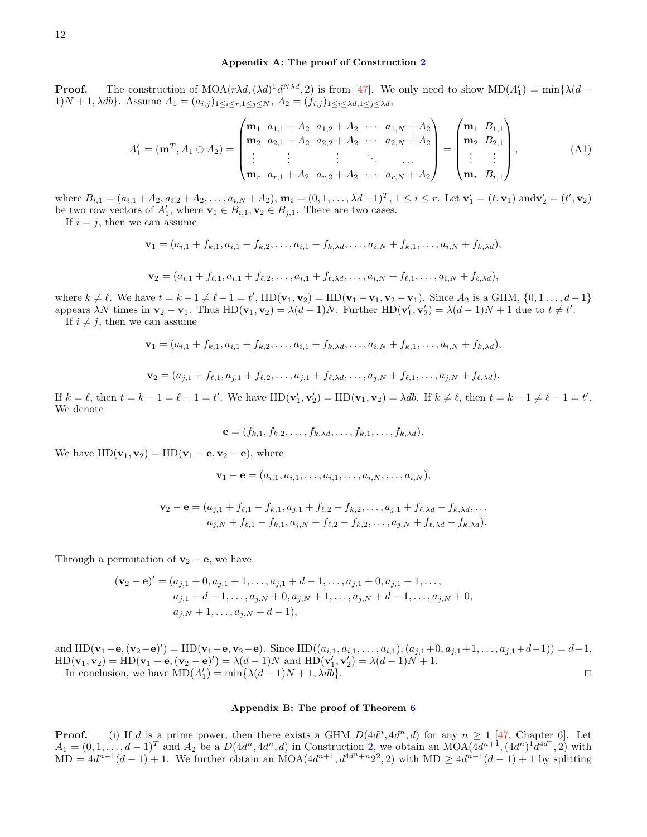## <span id="page-11-0"></span>Appendix A: The proof of Construction [2](#page-5-1)

**Proof.** The construction of  $\text{MOA}(r\lambda d, (\lambda d)^1 d^{N\lambda d}, 2)$  is from [\[47\]](#page-16-4). We only need to show  $\text{MD}(A'_1) = \min{\lambda(d - \lambda d)}$ 1)N + 1,  $\lambda db$ . Assume  $A_1 = (a_{i,j})_{1 \leq i \leq r, 1 \leq j \leq N}$ ,  $A_2 = (f_{i,j})_{1 \leq i \leq \lambda d, 1 \leq j \leq \lambda d}$ ,

$$
A'_{1} = (\mathbf{m}^{T}, A_{1} \oplus A_{2}) = \begin{pmatrix} \mathbf{m}_{1} & a_{1,1} + A_{2} & a_{1,2} + A_{2} & \cdots & a_{1,N} + A_{2} \\ \mathbf{m}_{2} & a_{2,1} + A_{2} & a_{2,2} + A_{2} & \cdots & a_{2,N} + A_{2} \\ \vdots & \vdots & \vdots & \ddots & \vdots \\ \mathbf{m}_{r} & a_{r,1} + A_{2} & a_{r,2} + A_{2} & \cdots & a_{r,N} + A_{2} \end{pmatrix} = \begin{pmatrix} \mathbf{m}_{1} & B_{1,1} \\ \mathbf{m}_{2} & B_{2,1} \\ \vdots & \vdots \\ \mathbf{m}_{r} & B_{r,1} \end{pmatrix},
$$
(A1)

where  $B_{i,1} = (a_{i,1} + A_2, a_{i,2} + A_2, \dots, a_{i,N} + A_2), \mathbf{m}_i = (0, 1, \dots, \lambda d - 1)^T, 1 \leq i \leq r.$  Let  $\mathbf{v}'_1 = (t, \mathbf{v}_1)$  and  $\mathbf{v}'_2 = (t', \mathbf{v}_2)$ be two row vectors of  $A'_1$ , where  $\mathbf{v}_1 \in B_{i,1}, \mathbf{v}_2 \in B_{j,1}$ . There are two cases.

If  $i = j$ , then we can assume

$$
\mathbf{v}_1=(a_{i,1}+f_{k,1},a_{i,1}+f_{k,2},\ldots,a_{i,1}+f_{k,\lambda d},\ldots,a_{i,N}+f_{k,1},\ldots,a_{i,N}+f_{k,\lambda d}),
$$

$$
\mathbf{v}_2 = (a_{i,1} + f_{\ell,1}, a_{i,1} + f_{\ell,2}, \ldots, a_{i,1} + f_{\ell,\lambda d}, \ldots, a_{i,N} + f_{\ell,1}, \ldots, a_{i,N} + f_{\ell,\lambda d}),
$$

where  $k \neq \ell$ . We have  $t = k - 1 \neq \ell - 1 = t'$ ,  $HD(\mathbf{v}_1, \mathbf{v}_2) = HD(\mathbf{v}_1 - \mathbf{v}_1, \mathbf{v}_2 - \mathbf{v}_1)$ . Since  $A_2$  is a GHM,  $\{0, 1, \ldots, d-1\}$ appears  $\lambda N$  times in  $\mathbf{v}_2 - \mathbf{v}_1$ . Thus  $HD(\mathbf{v}_1, \mathbf{v}_2) = \lambda (d-1)N$ . Further  $HD(\mathbf{v}'_1, \mathbf{v}'_2) = \lambda (d-1)N + 1$  due to  $t \neq t'$ . If  $i \neq j$ , then we can assume

$$
\mathbf{v}_1 = (a_{i,1} + f_{k,1}, a_{i,1} + f_{k,2}, \dots, a_{i,1} + f_{k,\lambda d}, \dots, a_{i,N} + f_{k,1}, \dots, a_{i,N} + f_{k,\lambda d}),
$$

$$
\mathbf{v}_2 = (a_{j,1} + f_{\ell,1}, a_{j,1} + f_{\ell,2}, \dots, a_{j,1} + f_{\ell,\lambda d}, \dots, a_{j,N} + f_{\ell,1}, \dots, a_{j,N} + f_{\ell,\lambda d}).
$$

If  $k = \ell$ , then  $t = k - 1 = \ell - 1 = t'$ . We have  $HD(\mathbf{v}'_1, \mathbf{v}'_2) = HD(\mathbf{v}_1, \mathbf{v}_2) = \lambda db$ . If  $k \neq \ell$ , then  $t = k - 1 \neq \ell - 1 = t'$ . We denote

$$
\mathbf{e}=(f_{k,1},f_{k,2},\ldots,f_{k,\lambda d},\ldots,f_{k,1},\ldots,f_{k,\lambda d}).
$$

We have  $HD(\mathbf{v}_1, \mathbf{v}_2) = HD(\mathbf{v}_1 - \mathbf{e}, \mathbf{v}_2 - \mathbf{e}),$  where

$$
\mathbf{v}_1 - \mathbf{e} = (a_{i,1}, a_{i,1}, \dots, a_{i,1}, \dots, a_{i,N}, \dots, a_{i,N}),
$$

$$
\mathbf{v}_2 - \mathbf{e} = (a_{j,1} + f_{\ell,1} - f_{k,1}, a_{j,1} + f_{\ell,2} - f_{k,2}, \dots, a_{j,1} + f_{\ell,\lambda d} - f_{k,\lambda d}, \dots
$$
  

$$
a_{j,N} + f_{\ell,1} - f_{k,1}, a_{j,N} + f_{\ell,2} - f_{k,2}, \dots, a_{j,N} + f_{\ell,\lambda d} - f_{k,\lambda d}).
$$

Through a permutation of  $\mathbf{v}_2 - \mathbf{e}$ , we have

$$
(\mathbf{v}_2 - \mathbf{e})' = (a_{j,1} + 0, a_{j,1} + 1, \dots, a_{j,1} + d - 1, \dots, a_{j,1} + 0, a_{j,1} + 1, \dots, a_{j,1} + d - 1, \dots, a_{j,N} + 0, a_{j,N} + 1, \dots, a_{j,N} + d - 1, \dots, a_{j,N} + 0, a_{j,N} + d - 1),
$$
  

$$
a_{j,N} + 1, \dots, a_{j,N} + d - 1),
$$

and  $HD(\mathbf{v}_1 - \mathbf{e}, (\mathbf{v}_2 - \mathbf{e})') = HD(\mathbf{v}_1 - \mathbf{e}, \mathbf{v}_2 - \mathbf{e})$ . Since  $HD((a_{i,1}, a_{i,1}, \dots, a_{i,1}), (a_{j,1}+0, a_{j,1}+1, \dots, a_{j,1}+d-1)) = d-1$ ,  $HD(\mathbf{v}_1, \mathbf{v}_2) = HD(\mathbf{v}_1 - \mathbf{e}, (\mathbf{v}_2 - \mathbf{e})') = \lambda(d-1)N$  and  $HD(\mathbf{v}'_1, \mathbf{v}'_2) = \lambda(d-1)N + 1$ . In conclusion, we have  $MD(A'_1) = min\{\lambda(d-1)N + 1, \lambda db\}.$ 

# <span id="page-11-1"></span>Appendix B: The proof of Theorem [6](#page-5-0)

**Proof.** (i) If d is a prime power, then there exists a GHM  $D(4d^n, 4d^n, d)$  for any  $n \ge 1$  [\[47](#page-16-4), Chapter 6]. Let  $A_1 = (0, 1, ..., d - 1)^T$  and  $A_2$  be a  $D(4d^n, 4d^n, d)$  in Construction [2,](#page-5-1) we obtain an MOA $(4d^{n+1}, (4d^n)^1 d^{4d^n}, 2)$  with MD =  $4d^{n-1}(d-1) + 1$ . We further obtain an MOA( $4d^{n+1}$ ,  $d^{4d^n+n}2^2$ , 2) with MD  $\geq 4d^{n-1}(d-1) + 1$  by splitting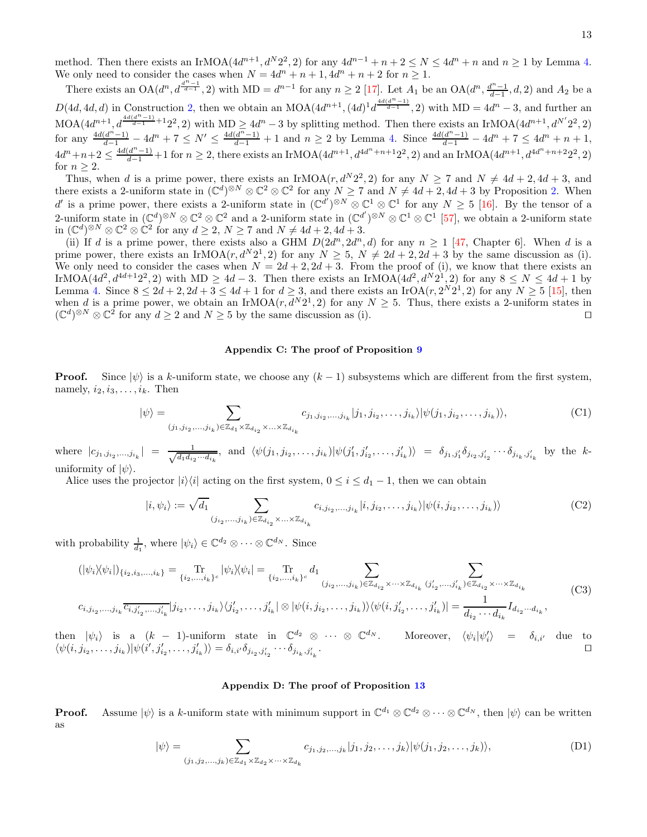method. Then there exists an IrMOA $(4d^{n+1}, d^N 2^2, 2)$  for any  $4d^{n-1} + n + 2 \le N \le 4d^n + n$  and  $n \ge 1$  by Lemma [4.](#page-4-2) We only need to consider the cases when  $N = 4d^n + n + 1$ ,  $4d^n + n + 2$  for  $n \ge 1$ .

There exists an  $OA(d^n, d^{\frac{d^{n-1}}{d-1}}, 2)$  with  $MD = d^{n-1}$  for any  $n \geq 2$  [\[17](#page-15-23)]. Let  $A_1$  be an  $OA(d^n, \frac{d^{n-1}}{d-1}, d, 2)$  and  $A_2$  be a  $D(4d, 4d, d)$  in Construction [2,](#page-5-1) then we obtain an MOA $(4d^{n+1}, (4d)^{1}d^{\frac{4d(d^{n}-1)}{d-1}}, 2)$  with MD =  $4d^{n}$  – 3, and further an  $MOA(4d^{n+1}, d^{4d(d^{n}-1)}_{d-1}+12^2, 2)$  with  $MD \geq 4d^n - 3$  by splitting method. Then there exists an IrMOA $(4d^{n+1}, d^{N'}2^2, 2)$ for any  $\frac{4d(d^{n}-1)}{d-1} - 4d^{n} + 7 \leq N' \leq \frac{4d(d^{n}-1)}{d-1} + 1$  and  $n \geq 2$  by Lemma [4.](#page-4-2) Since  $\frac{4d(d^{n}-1)}{d-1} - 4d^{n} + 7 \leq 4d^{n} + n + 1$ ,  $4d^{n}+n+2 \leq \frac{4d(d^{n}-1)}{d-1}+1$  for  $n \geq 2$ , there exists an IrMOA( $4d^{n+1}$ ,  $d^{4d^{n}+n+1}2^{2}$ , 2) and an IrMOA( $4d^{n+1}$ ,  $d^{4d^{n}+n+2}2^{2}$ , 2) for  $n \geq 2$ .

Thus, when d is a prime power, there exists an IrMOA( $r, d^N 2^2$ , 2) for any  $N \ge 7$  and  $N \ne 4d + 2, 4d + 3$ , and there exists a 2-uniform state in  $(\mathbb{C}^d)^{\otimes N} \otimes \mathbb{C}^2 \otimes \mathbb{C}^2$  for any  $N \ge 7$  and  $N \ne 4d+2, 4d+3$  by Proposition [2.](#page-3-0) When d' is a prime power, there exists a 2-uniform state in  $(\mathbb{C}^{d'})^{\otimes N} \otimes \mathbb{C}^1 \otimes \mathbb{C}^1$  for any  $N \geq 5$  [\[16\]](#page-15-10). By the tensor of a 2-uniform state in  $(\mathbb{C}^d)^{\otimes N} \otimes \mathbb{C}^2 \otimes \mathbb{C}^2$  and a 2-uniform state in  $(\mathbb{C}^{d'})^{\otimes N} \otimes \mathbb{C}^1 \otimes \mathbb{C}^1$  [\[57\]](#page-16-13), we obtain a 2-uniform state in  $(\mathbb{C}^d)^{\otimes N} \otimes \mathbb{C}^2 \otimes \mathbb{C}^2$  for any  $d \geq 2$ ,  $N \geq 7$  and  $N \neq 4d + 2$ ,  $4d + 3$ .

(ii) If d is a prime power, there exists also a GHM  $D(2d^n, 2d^n, d)$  for any  $n \ge 1$  [\[47,](#page-16-4) Chapter 6]. When d is a prime power, there exists an IrMOA $(r, d^N 2^1, 2)$  for any  $N \geq 5$ ,  $N \neq 2d + 2$ ,  $2d + 3$  by the same discussion as (i). We only need to consider the cases when  $N = 2d + 2$ ,  $2d + 3$ . From the proof of (i), we know that there exists an IrMOA( $4d^2$ ,  $d^{4d+1}2^2$ , 2) with MD  $\geq 4d-3$ . Then there exists an IrMOA( $4d^2$ ,  $d^N2^1$ , 2) for any  $8 \leq N \leq 4d+1$  by Lemma [4.](#page-4-2) Since  $8 \le 2d + 2$ ,  $2d + 3 \le 4d + 1$  for  $d \ge 3$ , and there exists an IrOA(r,  $2^N 2^1$ , 2) for any  $N \ge 5$  [\[15\]](#page-15-8), then when d is a prime power, we obtain an IrMOA $(r, d^N 2^1, 2)$  for any  $N \ge 5$ . Thus, there exists a 2-uniform states in  $(\mathbb{C}^d)^{\otimes N} \otimes \mathbb{C}^2$  for any  $d \ge 2$  and  $N \ge 5$  by the same discussion as (i). □

#### <span id="page-12-0"></span>Appendix C: The proof of Proposition [9](#page-7-0)

**Proof.** Since  $|\psi\rangle$  is a k-uniform state, we choose any  $(k-1)$  subsystems which are different from the first system, namely,  $i_2, i_3, \ldots, i_k$ . Then

$$
|\psi\rangle = \sum_{(j_1, j_{i_2}, \dots, j_{i_k}) \in \mathbb{Z}_{d_1} \times \mathbb{Z}_{d_{i_2}} \times \dots \times \mathbb{Z}_{d_{i_k}}} c_{j_1, j_{i_2}, \dots, j_{i_k}} |j_1, j_{i_2}, \dots, j_{i_k}\rangle |\psi(j_1, j_{i_2}, \dots, j_{i_k})\rangle, \tag{C1}
$$

where  $|c_{j_1,j_{i_2},...,j_{i_k}}| = \frac{1}{\sqrt{d_1 d_i}}$  $\frac{1}{d_1 d_{i_2} \cdots d_{i_k}}$ , and  $\langle \psi(j_1, j_{i_2}, \ldots, j_{i_k}) | \psi(j'_1, j'_{i_2}, \ldots, j'_{i_k}) \rangle = \delta_{j_1, j'_1} \delta_{j_{i_2}, j'_{i_2}} \cdots \delta_{j_{i_k}, j'_{i_k}}$  by the kuniformity of  $|\psi\rangle$ .

Alice uses the projector  $|i\rangle\langle i|$  acting on the first system,  $0 \leq i \leq d_1 - 1$ , then we can obtain

$$
|i, \psi_i\rangle := \sqrt{d_1} \sum_{(j_{i_2},\ldots,j_{i_k}) \in \mathbb{Z}_{d_{i_2}} \times \ldots \times \mathbb{Z}_{d_{i_k}}} c_{i,j_{i_2},\ldots,j_{i_k}} |i, j_{i_2},\ldots,j_{i_k}\rangle |\psi(i, j_{i_2},\ldots,j_{i_k})\rangle
$$
(C2)

with probability  $\frac{1}{d_1}$ , where  $|\psi_i\rangle \in \mathbb{C}^{d_2} \otimes \cdots \otimes \mathbb{C}^{d_N}$ . Since

$$
(|\psi_i \rangle \langle \psi_i|)_{\{i_2, i_3, \dots, i_k\}} = \underset{\{i_2, \dots, i_k\}^c}{\text{Tr}} |\psi_i \rangle \langle \psi_i| = \underset{\{i_2, \dots, i_k\}^c}{\text{Tr}} d_1 \sum_{(j_{i_2}, \dots, j_{i_k}) \in \mathbb{Z}_{d_{i_2}} \times \dots \times \mathbb{Z}_{d_{i_k}} (j'_{i_2}, \dots, j'_{i_k}) \in \mathbb{Z}_{d_{i_2}} \times \dots \times \mathbb{Z}_{d_{i_k}}}
$$
(C3)

$$
c_{i,j_{i_2},\ldots,j_{i_k}}\overline{c_{i,j'_{i_2},\ldots,j'_{i_k}}}|j_{i_2},\ldots,j_{i_k}\rangle\langle j'_{i_2},\ldots,j'_{i_k}|\otimes|\psi(i,j_{i_2},\ldots,j_{i_k})\rangle\langle\psi(i,j'_{i_2},\ldots,j'_{i_k})|=\frac{1}{d_{i_2}\cdots d_{i_k}}I_{d_{i_2}\cdots d_{i_k}},
$$

then  $|\psi_i\rangle$  is a  $(k-1)$ -uniform state in  $\mathbb{C}^{d_2} \otimes \cdots \otimes \mathbb{C}$  $\delta^{d_N}$ . Moreover,  $\langle \psi_i | \psi'_i \rangle$  =  $\delta_{i,i'}$  due to  $\langle \psi(i, j_{i_2}, \ldots, j_{i_k}) | \psi(i', j'_{i_2}, \ldots, j'_{i_k}) \rangle = \delta_{i,i'} \delta_{j_{i_2}, j'_{i_2}} \cdots \delta_{j_{i_k}, j'_{i_k}}$ . ⊓⊔

# <span id="page-12-1"></span>Appendix D: The proof of Proposition [13](#page-9-0)

**Proof.** Assume  $|\psi\rangle$  is a k-uniform state with minimum support in  $\mathbb{C}^{d_1} \otimes \mathbb{C}^{d_2} \otimes \cdots \otimes \mathbb{C}^{d_N}$ , then  $|\psi\rangle$  can be written as

$$
|\psi\rangle = \sum_{(j_1, j_2, \dots, j_k) \in \mathbb{Z}_{d_1} \times \mathbb{Z}_{d_2} \times \dots \times \mathbb{Z}_{d_k}} c_{j_1, j_2, \dots, j_k} |j_1, j_2, \dots, j_k\rangle |\psi(j_1, j_2, \dots, j_k)\rangle, \tag{D1}
$$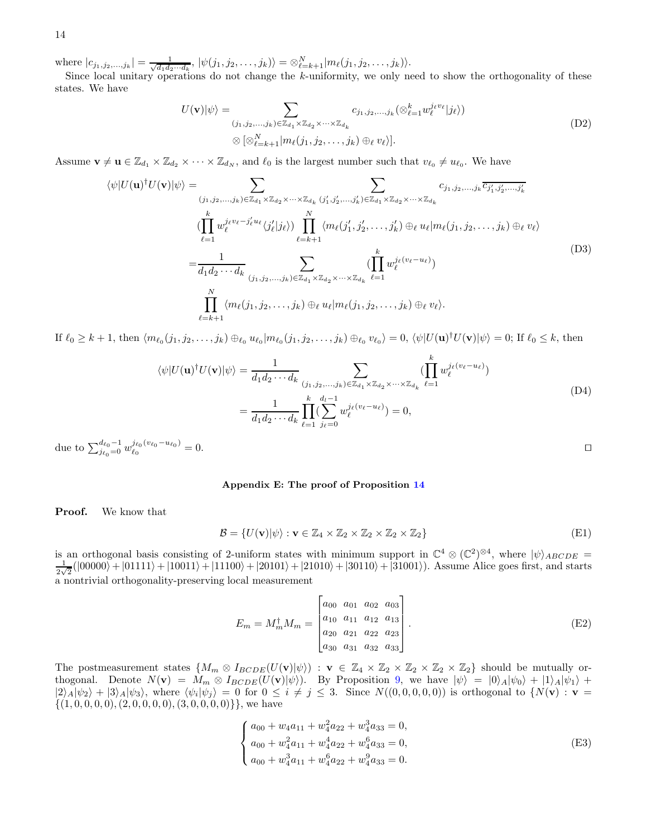where  $|c_{j_1,j_2,...,j_k}| = \frac{1}{\sqrt{d_1d_2\cdots d_k}}, |\psi(j_1,j_2,...,j_k)\rangle = \bigotimes_{\ell=k+1}^{N} |m_{\ell}(j_1,j_2,...,j_k)\rangle.$ 

Since local unitary operations do not change the k-uniformity, we only need to show the orthogonality of these states. We have

$$
U(\mathbf{v})|\psi\rangle = \sum_{(j_1,j_2,\ldots,j_k)\in\mathbb{Z}_{d_1}\times\mathbb{Z}_{d_2}\times\cdots\times\mathbb{Z}_{d_k}} c_{j_1,j_2,\ldots,j_k}(\otimes_{\ell=1}^k w_{\ell}^{j_{\ell}v_{\ell}}|j_{\ell}\rangle)
$$
  

$$
\otimes [\otimes_{\ell=k+1}^N |m_{\ell}(j_1,j_2,\ldots,j_k)\oplus_{\ell}v_{\ell}\rangle].
$$
 (D2)

Assume  $\mathbf{v} \neq \mathbf{u} \in \mathbb{Z}_{d_1} \times \mathbb{Z}_{d_2} \times \cdots \times \mathbb{Z}_{d_N}$ , and  $\ell_0$  is the largest number such that  $v_{\ell_0} \neq u_{\ell_0}$ . We have

$$
\langle \psi | U(\mathbf{u})^{\dagger} U(\mathbf{v}) | \psi \rangle = \sum_{(j_1, j_2, \dots, j_k) \in \mathbb{Z}_{d_1} \times \mathbb{Z}_{d_2} \times \dots \times \mathbb{Z}_{d_k}} \sum_{(j'_1, j'_2, \dots, j'_k) \in \mathbb{Z}_{d_1} \times \mathbb{Z}_{d_2} \times \dots \times \mathbb{Z}_{d_k}} c_{j_1, j_2, \dots, j_k} \overline{c_{j'_1, j'_2, \dots, j'_k}}
$$
\n
$$
\langle \prod_{\ell=1}^k w_{\ell}^{j_{\ell} v_{\ell} - j'_{\ell} u_{\ell}} \langle j'_{\ell} | j_{\ell} \rangle \rangle \prod_{\ell=k+1}^N \langle m_{\ell}(j'_1, j'_2, \dots, j'_k) \oplus_{\ell} u_{\ell} | m_{\ell}(j_1, j_2, \dots, j_k) \oplus_{\ell} v_{\ell} \rangle
$$
\n
$$
= \frac{1}{d_1 d_2 \cdots d_k} \sum_{(j_1, j_2, \dots, j_k) \in \mathbb{Z}_{d_1} \times \mathbb{Z}_{d_2} \times \dots \times \mathbb{Z}_{d_k}} \sum_{\ell=1}^k w_{\ell}^{j_{\ell}(v_{\ell} - u_{\ell})} \rangle
$$
\n
$$
\prod_{\ell=k+1}^N \langle m_{\ell}(j_1, j_2, \dots, j_k) \oplus_{\ell} u_{\ell} | m_{\ell}(j_1, j_2, \dots, j_k) \oplus_{\ell} v_{\ell} \rangle.
$$
\n(D3)

If  $\ell_0 \geq k+1$ , then  $\langle m_{\ell_0}(j_1, j_2, \ldots, j_k) \oplus_{\ell_0} u_{\ell_0} | m_{\ell_0}(j_1, j_2, \ldots, j_k) \oplus_{\ell_0} v_{\ell_0} \rangle = 0$ ,  $\langle \psi | U(\mathbf{u})^{\dagger} U(\mathbf{v}) | \psi \rangle = 0$ ; If  $\ell_0 \leq k$ , then

$$
\langle \psi | U(\mathbf{u})^{\dagger} U(\mathbf{v}) | \psi \rangle = \frac{1}{d_1 d_2 \cdots d_k} \sum_{(j_1, j_2, \dots, j_k) \in \mathbb{Z}_{d_1} \times \mathbb{Z}_{d_2} \times \cdots \times \mathbb{Z}_{d_k}} \left( \prod_{\ell=1}^k w_{\ell}^{j_{\ell}(v_{\ell} - u_{\ell})} \right)
$$

$$
= \frac{1}{d_1 d_2 \cdots d_k} \prod_{\ell=1}^k \left( \sum_{j_{\ell}=0}^{d_1 - 1} w_{\ell}^{j_{\ell}(v_{\ell} - u_{\ell})} \right) = 0,
$$
(D4)

due to  $\sum_{j_{\ell_0}=0}^{d_{\ell_0}-1} w_{\ell_0}^{j_{\ell_0}(v_{\ell_0}-u_{\ell_0})}$  $\ell_0$  $= 0.$ 

#### <span id="page-13-0"></span>Appendix E: The proof of Proposition [14](#page-9-1)

Proof. We know that

$$
\mathcal{B} = \{ U(\mathbf{v}) | \psi \rangle : \mathbf{v} \in \mathbb{Z}_4 \times \mathbb{Z}_2 \times \mathbb{Z}_2 \times \mathbb{Z}_2 \times \mathbb{Z}_2 \}
$$
(E1)

is an orthogonal basis consisting of 2-uniform states with minimum support in  $\mathbb{C}^4 \otimes (\mathbb{C}^2)^{\otimes 4}$ , where  $|\psi\rangle_{ABCDE} =$ 1  $\frac{1}{2\sqrt{2}}(|00000\rangle+|01111\rangle+|10011\rangle+|11100\rangle+|20101\rangle+|21010\rangle+|30110\rangle+|31001\rangle).$  Assume Alice goes first, and starts a nontrivial orthogonality-preserving local measurement

$$
E_m = M_m^{\dagger} M_m = \begin{bmatrix} a_{00} & a_{01} & a_{02} & a_{03} \\ a_{10} & a_{11} & a_{12} & a_{13} \\ a_{20} & a_{21} & a_{22} & a_{23} \\ a_{30} & a_{31} & a_{32} & a_{33} \end{bmatrix} . \tag{E2}
$$

The postmeasurement states  $\{M_m \otimes I_{BCDE}(U(\mathbf{v})|\psi\rangle) : \mathbf{v} \in \mathbb{Z}_4 \times \mathbb{Z}_2 \times \mathbb{Z}_2 \times \mathbb{Z}_2 \times \mathbb{Z}_2\}$  should be mutually orthogonal. Denote  $N(\mathbf{v}) = M_m \otimes I_{BCDE}(U(\mathbf{v})|\psi\rangle)$ . By Proposition [9,](#page-7-0) we have  $|\psi\rangle = |0\rangle_A |\psi_0\rangle + |1\rangle_A |\psi_1\rangle +$  $|2\rangle_A|\psi_2\rangle + |3\rangle_A|\psi_3\rangle$ , where  $\langle\psi_i|\psi_j\rangle = 0$  for  $0 \le i \ne j \le 3$ . Since  $N((0, 0, 0, 0, 0))$  is orthogonal to  $\{N(\mathbf{v}) : \mathbf{v} =$  $\{(1, 0, 0, 0, 0), (2, 0, 0, 0, 0), (3, 0, 0, 0, 0)\}\}\,$ , we have

$$
\begin{cases}\na_{00} + w_4 a_{11} + w_4^2 a_{22} + w_4^3 a_{33} = 0, \\
a_{00} + w_4^2 a_{11} + w_4^4 a_{22} + w_4^6 a_{33} = 0, \\
a_{00} + w_4^3 a_{11} + w_4^6 a_{22} + w_4^9 a_{33} = 0.\n\end{cases}
$$
(E3)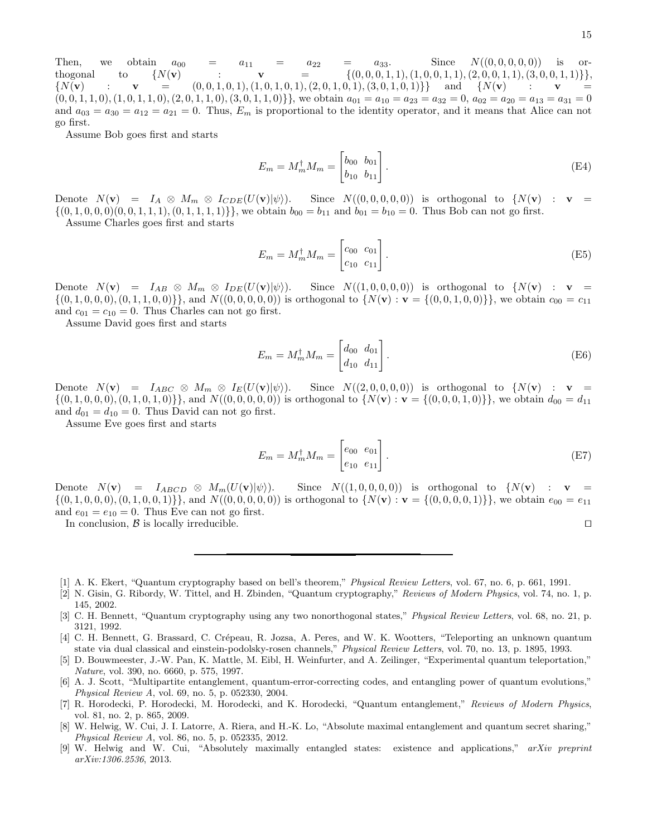Then, we obtain  $a_{00} = a_{11} = a_{22} = a_{33}$ . Since  $N((0,0,0,0,0))$  is orthogonal to  $\{N(\mathbf{v}) : \mathbf{v} = (0, 0, 1, 0, 1), (1, 0, 1, 0, 1), (2, 0, 1, 0, 1, 1), (1, 0, 0, 1, 1), (1, 0, 0, 1, 1), (2, 0, 0, 1, 1, 1), (3, 0, 0, 1, 1)\}\}\$  $\{0, 0, 1, 0, 1), (1, 0, 1, 0, 1), (2, 0, 1, 0, 1), (3, 0, 1, 0, 1)\}\$  and  $\{N(\mathbf{v})\}$  $(0, 0, 1, 1, 0), (1, 0, 1, 1, 0), (2, 0, 1, 1, 0), (3, 0, 1, 1, 0)\}$ , we obtain  $a_{01} = a_{10} = a_{23} = a_{32} = 0$ ,  $a_{02} = a_{20} = a_{13} = a_{31} = 0$ and  $a_{03} = a_{30} = a_{12} = a_{21} = 0$ . Thus,  $E_m$  is proportional to the identity operator, and it means that Alice can not go first.

Assume Bob goes first and starts

$$
E_m = M_m^{\dagger} M_m = \begin{bmatrix} b_{00} & b_{01} \\ b_{10} & b_{11} \end{bmatrix} .
$$
 (E4)

Denote  $N(\mathbf{v}) = I_A \otimes M_m \otimes I_{CDE}(U(\mathbf{v})|\psi\rangle)$ . Since  $N((0,0,0,0,0))$  is orthogonal to  $\{N(\mathbf{v}) : \mathbf{v} =$  $\{(0, 1, 0, 0, 0)(0, 0, 1, 1, 1), (0, 1, 1, 1, 1)\}\}$ , we obtain  $b_{00} = b_{11}$  and  $b_{01} = b_{10} = 0$ . Thus Bob can not go first.

Assume Charles goes first and starts

$$
E_m = M_m^{\dagger} M_m = \begin{bmatrix} c_{00} & c_{01} \\ c_{10} & c_{11} \end{bmatrix} .
$$
 (E5)

Denote  $N(\mathbf{v}) = I_{AB} \otimes M_m \otimes I_{DE}(U(\mathbf{v})|\psi\rangle)$ . Since  $N((1, 0, 0, 0, 0))$  is orthogonal to  $\{N(\mathbf{v}) : \mathbf{v} =$  $\{(0,1,0,0,0), (0,1,1,0,0)\}\}\$ , and  $N((0,0,0,0,0))$  is orthogonal to  $\{N(\mathbf{v}): \mathbf{v} = \{(0,0,1,0,0)\}\}\$ , we obtain  $c_{00} = c_{11}$ and  $c_{01} = c_{10} = 0$ . Thus Charles can not go first.

Assume David goes first and starts

$$
E_m = M_m^{\dagger} M_m = \begin{bmatrix} d_{00} & d_{01} \\ d_{10} & d_{11} \end{bmatrix} . \tag{E6}
$$

Denote  $N(\mathbf{v}) = I_{ABC} \otimes M_m \otimes I_E(U(\mathbf{v})|\psi\rangle)$ . Since  $N((2, 0, 0, 0, 0))$  is orthogonal to  $\{N(\mathbf{v}) : \mathbf{v} =$  $\{(0, 1, 0, 0, 0), (0, 1, 0, 1, 0)\}\}\$ , and  $N((0, 0, 0, 0, 0))$  is orthogonal to  $\{N(\mathbf{v}): \mathbf{v} = \{(0, 0, 0, 1, 0)\}\}\$ , we obtain  $d_{00} = d_{11}$ and  $d_{01} = d_{10} = 0$ . Thus David can not go first.

Assume Eve goes first and starts

$$
E_m = M_m^{\dagger} M_m = \begin{bmatrix} e_{00} & e_{01} \\ e_{10} & e_{11} \end{bmatrix} . \tag{E7}
$$

Denote  $N(\mathbf{v}) = I_{ABCD} \otimes M_m(U(\mathbf{v})|\psi)$ . Since  $N((1, 0, 0, 0, 0))$  is orthogonal to  $\{N(\mathbf{v}) : \mathbf{v} =$  $\{(0, 1, 0, 0, 0), (0, 1, 0, 0, 1)\}\}\$ , and  $N((0, 0, 0, 0, 0))$  is orthogonal to  $\{N(\mathbf{v}): \mathbf{v} = \{(0, 0, 0, 0, 1)\}\}\$ , we obtain  $e_{00} = e_{11}$ and  $e_{01} = e_{10} = 0$ . Thus Eve can not go first.

In conclusion,  $\beta$  is locally irreducible. □

- <span id="page-14-0"></span>[1] A. K. Ekert, "Quantum cryptography based on bell's theorem," *Physical Review Letters*, vol. 67, no. 6, p. 661, 1991.
- [2] N. Gisin, G. Ribordy, W. Tittel, and H. Zbinden, "Quantum cryptography," *Reviews of Modern Physics*, vol. 74, no. 1, p. 145, 2002.

- <span id="page-14-2"></span>[4] C. H. Bennett, G. Brassard, C. Crépeau, R. Jozsa, A. Peres, and W. K. Wootters, "Teleporting an unknown quantum state via dual classical and einstein-podolsky-rosen channels," *Physical Review Letters*, vol. 70, no. 13, p. 1895, 1993.
- <span id="page-14-3"></span>[5] D. Bouwmeester, J.-W. Pan, K. Mattle, M. Eibl, H. Weinfurter, and A. Zeilinger, "Experimental quantum teleportation," *Nature*, vol. 390, no. 6660, p. 575, 1997.
- <span id="page-14-4"></span>[6] A. J. Scott, "Multipartite entanglement, quantum-error-correcting codes, and entangling power of quantum evolutions," *Physical Review A*, vol. 69, no. 5, p. 052330, 2004.
- <span id="page-14-5"></span>[7] R. Horodecki, P. Horodecki, M. Horodecki, and K. Horodecki, "Quantum entanglement," *Reviews of Modern Physics*, vol. 81, no. 2, p. 865, 2009.
- <span id="page-14-6"></span>[8] W. Helwig, W. Cui, J. I. Latorre, A. Riera, and H.-K. Lo, "Absolute maximal entanglement and quantum secret sharing," *Physical Review A*, vol. 86, no. 5, p. 052335, 2012.
- <span id="page-14-7"></span>[9] W. Helwig and W. Cui, "Absolutely maximally entangled states: existence and applications," *arXiv preprint arXiv:1306.2536*, 2013.

<span id="page-14-1"></span><sup>[3]</sup> C. H. Bennett, "Quantum cryptography using any two nonorthogonal states," *Physical Review Letters*, vol. 68, no. 21, p. 3121, 1992.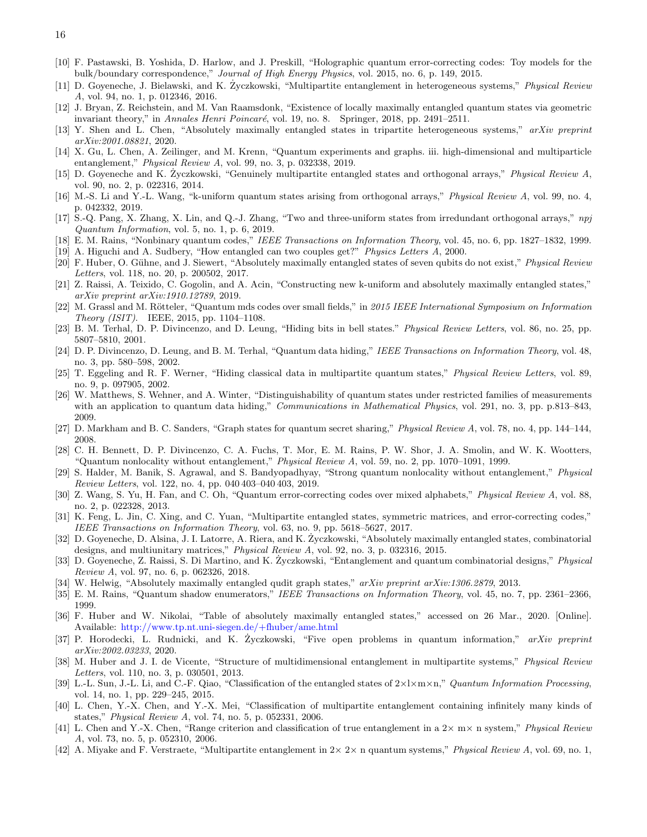- <span id="page-15-0"></span>[10] F. Pastawski, B. Yoshida, D. Harlow, and J. Preskill, "Holographic quantum error-correcting codes: Toy models for the bulk/boundary correspondence," *Journal of High Energy Physics*, vol. 2015, no. 6, p. 149, 2015.
- <span id="page-15-1"></span>[11] D. Goyeneche, J. Bielawski, and K. Zyczkowski, "Multipartite entanglement in heterogeneous ˙ systems," *Physical Review A*, vol. 94, no. 1, p. 012346, 2016.
- <span id="page-15-2"></span>[12] J. Bryan, Z. Reichstein, and M. Van Raamsdonk, "Existence of locally maximally entangled quantum states via geometric invariant theory," in *Annales Henri Poincaré*, vol. 19, no. 8. Springer, 2018, pp. 2491–2511.
- <span id="page-15-3"></span>[13] Y. Shen and L. Chen, "Absolutely maximally entangled states in tripartite heterogeneous systems," *arXiv preprint arXiv:2001.08821*, 2020.
- <span id="page-15-4"></span>[14] X. Gu, L. Chen, A. Zeilinger, and M. Krenn, "Quantum experiments and graphs. iii. high-dimensional and multiparticle entanglement," *Physical Review A*, vol. 99, no. 3, p. 032338, 2019.
- <span id="page-15-8"></span>[15] D. Goyeneche and K. Zyczkowski, "Genuinely multipartite entangled states and ˙ orthogonal arrays," *Physical Review A*, vol. 90, no. 2, p. 022316, 2014.
- <span id="page-15-10"></span>[16] M.-S. Li and Y.-L. Wang, "k-uniform quantum states arising from orthogonal arrays," *Physical Review A*, vol. 99, no. 4, p. 042332, 2019.
- <span id="page-15-23"></span>[17] S.-Q. Pang, X. Zhang, X. Lin, and Q.-J. Zhang, "Two and three-uniform states from irredundant orthogonal arrays," *npj Quantum Information*, vol. 5, no. 1, p. 6, 2019.
- <span id="page-15-11"></span>[18] E. M. Rains, "Nonbinary quantum codes," *IEEE Transactions on Information Theory*, vol. 45, no. 6, pp. 1827–1832, 1999.
- <span id="page-15-9"></span>[19] A. Higuchi and A. Sudbery, "How entangled can two couples get?" *Physics Letters A*, 2000.
- <span id="page-15-12"></span>[20] F. Huber, O. G¨uhne, and J. Siewert, "Absolutely maximally entangled states of seven qubits do not exist," *Physical Review Letters*, vol. 118, no. 20, p. 200502, 2017.
- <span id="page-15-25"></span>[21] Z. Raissi, A. Teixido, C. Gogolin, and A. Acin, "Constructing new k-uniform and absolutely maximally entangled states," *arXiv preprint arXiv:1910.12789*, 2019.
- <span id="page-15-13"></span>[22] M. Grassl and M. Rötteler, "Quantum mds codes over small fields," in 2015 IEEE International Symposium on Information *Theory (ISIT)*. IEEE, 2015, pp. 1104–1108.
- <span id="page-15-5"></span>[23] B. M. Terhal, D. P. Divincenzo, and D. Leung, "Hiding bits in bell states." *Physical Review Letters*, vol. 86, no. 25, pp. 5807–5810, 2001.
- [24] D. P. Divincenzo, D. Leung, and B. M. Terhal, "Quantum data hiding," *IEEE Transactions on Information Theory*, vol. 48, no. 3, pp. 580–598, 2002.
- [25] T. Eggeling and R. F. Werner, "Hiding classical data in multipartite quantum states," *Physical Review Letters*, vol. 89, no. 9, p. 097905, 2002.
- <span id="page-15-6"></span>[26] W. Matthews, S. Wehner, and A. Winter, "Distinguishability of quantum states under restricted families of measurements with an application to quantum data hiding," *Communications in Mathematical Physics*, vol. 291, no. 3, pp. p.813–843, 2009.
- <span id="page-15-7"></span>[27] D. Markham and B. C. Sanders, "Graph states for quantum secret sharing," *Physical Review A*, vol. 78, no. 4, pp. 144–144, 2008.
- <span id="page-15-14"></span>[28] C. H. Bennett, D. P. Divincenzo, C. A. Fuchs, T. Mor, E. M. Rains, P. W. Shor, J. A. Smolin, and W. K. Wootters, "Quantum nonlocality without entanglement," *Physical Review A*, vol. 59, no. 2, pp. 1070–1091, 1999.
- <span id="page-15-15"></span>[29] S. Halder, M. Banik, S. Agrawal, and S. Bandyopadhyay, "Strong quantum nonlocality without entanglement," *Physical Review Letters*, vol. 122, no. 4, pp. 040 403–040 403, 2019.
- <span id="page-15-16"></span>[30] Z. Wang, S. Yu, H. Fan, and C. Oh, "Quantum error-correcting codes over mixed alphabets," *Physical Review A*, vol. 88, no. 2, p. 022328, 2013.
- <span id="page-15-17"></span>[31] K. Feng, L. Jin, C. Xing, and C. Yuan, "Multipartite entangled states, symmetric matrices, and error-correcting codes," *IEEE Transactions on Information Theory*, vol. 63, no. 9, pp. 5618–5627, 2017.
- <span id="page-15-24"></span>[32] D. Goyeneche, D. Alsina, J. I. Latorre, A. Riera, and K. Życzkowski, "Absolutely maximally entangled states, combinatorial designs, and multiunitary matrices," *Physical Review A*, vol. 92, no. 3, p. 032316, 2015.
- [33] D. Goyeneche, Z. Raissi, S. Di Martino, and K. Zyczkowski, "Entanglement and quantum combinatorial designs," *Physical Review A*, vol. 97, no. 6, p. 062326, 2018.
- <span id="page-15-18"></span>[34] W. Helwig, "Absolutely maximally entangled qudit graph states," *arXiv preprint arXiv:1306.2879*, 2013.
- <span id="page-15-19"></span>[35] E. M. Rains, "Quantum shadow enumerators," *IEEE Transactions on Information Theory*, vol. 45, no. 7, pp. 2361–2366, 1999.
- <span id="page-15-20"></span>[36] F. Huber and W. Nikolai, "Table of absolutely maximally entangled states," accessed on 26 Mar., 2020. [Online]. Available: <http://www.tp.nt.uni-siegen.de/+fhuber/ame.html>
- <span id="page-15-21"></span>[37] P. Horodecki, L. Rudnicki, and K. Zyczkowski, "Five open problems in quantum information," ˙ *arXiv preprint arXiv:2002.03233*, 2020.
- <span id="page-15-22"></span>[38] M. Huber and J. I. de Vicente, "Structure of multidimensional entanglement in multipartite systems," *Physical Review Letters*, vol. 110, no. 3, p. 030501, 2013.
- [39] L.-L. Sun, J.-L. Li, and C.-F. Qiao, "Classification of the entangled states of 2×l×m×n," *Quantum Information Processing*, vol. 14, no. 1, pp. 229–245, 2015.
- [40] L. Chen, Y.-X. Chen, and Y.-X. Mei, "Classification of multipartite entanglement containing infinitely many kinds of states," *Physical Review A*, vol. 74, no. 5, p. 052331, 2006.
- [41] L. Chen and Y.-X. Chen, "Range criterion and classification of true entanglement in a 2× m× n system," *Physical Review A*, vol. 73, no. 5, p. 052310, 2006.
- [42] A. Miyake and F. Verstraete, "Multipartite entanglement in 2× 2× n quantum systems," *Physical Review A*, vol. 69, no. 1,